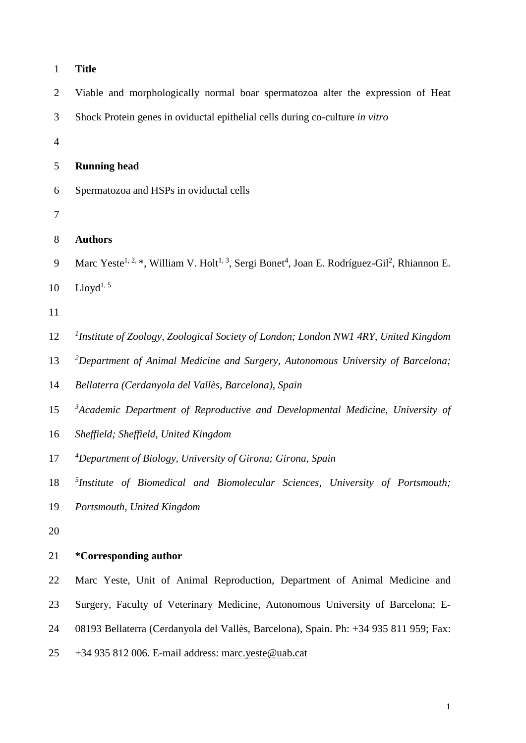| $\mathbf{1}$   | <b>Title</b>                                                                                                                                 |
|----------------|----------------------------------------------------------------------------------------------------------------------------------------------|
| $\overline{2}$ | Viable and morphologically normal boar spermatozoa alter the expression of Heat                                                              |
| 3              | Shock Protein genes in oviductal epithelial cells during co-culture in vitro                                                                 |
| $\overline{4}$ |                                                                                                                                              |
| 5              | <b>Running head</b>                                                                                                                          |
| 6              | Spermatozoa and HSPs in oviductal cells                                                                                                      |
| $\tau$         |                                                                                                                                              |
| $8\,$          | <b>Authors</b>                                                                                                                               |
| 9              | Marc Yeste <sup>1, 2,*</sup> , William V. Holt <sup>1, 3</sup> , Sergi Bonet <sup>4</sup> , Joan E. Rodríguez-Gil <sup>2</sup> , Rhiannon E. |
| 10             | $Lloyd^{1, 5}$                                                                                                                               |
| 11             |                                                                                                                                              |
| 12             | <sup>1</sup> Institute of Zoology, Zoological Society of London; London NW1 4RY, United Kingdom                                              |
| 13             | <sup>2</sup> Department of Animal Medicine and Surgery, Autonomous University of Barcelona;                                                  |
| 14             | Bellaterra (Cerdanyola del Vallès, Barcelona), Spain                                                                                         |
| 15             | $3A$ cademic Department of Reproductive and Developmental Medicine, University of                                                            |
| 16             | Sheffield; Sheffield, United Kingdom                                                                                                         |
| 17             | <sup>4</sup> Department of Biology, University of Girona; Girona, Spain                                                                      |
| 18             | $5$ Institute of Biomedical and Biomolecular Sciences, University of Portsmouth;                                                             |
| 19             | Portsmouth, United Kingdom                                                                                                                   |
| 20             |                                                                                                                                              |
| 21             | <i>*</i> Corresponding author                                                                                                                |
| 22             | Marc Yeste, Unit of Animal Reproduction, Department of Animal Medicine and                                                                   |
| 23             | Surgery, Faculty of Veterinary Medicine, Autonomous University of Barcelona; E-                                                              |
| 24             | 08193 Bellaterra (Cerdanyola del Vallès, Barcelona), Spain. Ph: +34 935 811 959; Fax:                                                        |
| 25             | +34 935 812 006. E-mail address: marc.yeste@uab.cat                                                                                          |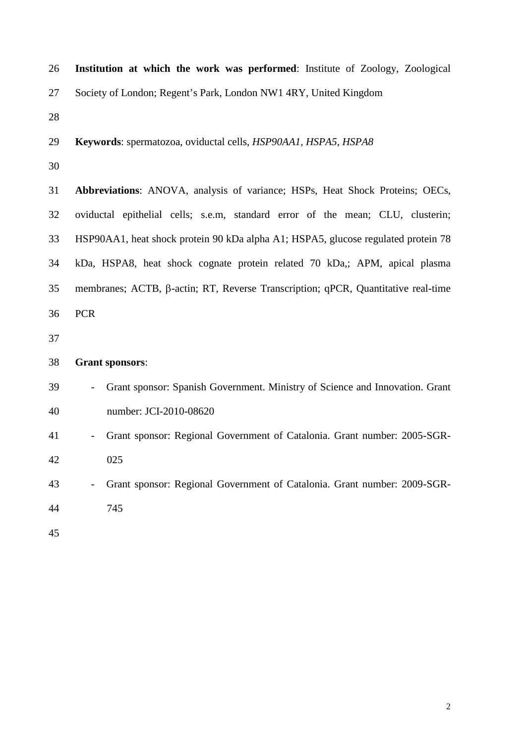| 26 | Institution at which the work was performed: Institute of Zoology, Zoological     |
|----|-----------------------------------------------------------------------------------|
| 27 | Society of London; Regent's Park, London NW1 4RY, United Kingdom                  |
| 28 |                                                                                   |
| 29 | Keywords: spermatozoa, oviductal cells, HSP90AA1, HSPA5, HSPA8                    |
| 30 |                                                                                   |
| 31 | Abbreviations: ANOVA, analysis of variance; HSPs, Heat Shock Proteins; OECs,      |
| 32 | oviductal epithelial cells; s.e.m, standard error of the mean; CLU, clusterin;    |
| 33 | HSP90AA1, heat shock protein 90 kDa alpha A1; HSPA5, glucose regulated protein 78 |
| 34 | kDa, HSPA8, heat shock cognate protein related 70 kDa,; APM, apical plasma        |
| 35 | membranes; ACTB, β-actin; RT, Reverse Transcription; qPCR, Quantitative real-time |
| 36 | <b>PCR</b>                                                                        |
| 37 |                                                                                   |
| 38 | <b>Grant sponsors:</b>                                                            |
| 39 | Grant sponsor: Spanish Government. Ministry of Science and Innovation. Grant      |
| 40 | number: JCI-2010-08620                                                            |
| 41 | Grant sponsor: Regional Government of Catalonia. Grant number: 2005-SGR-          |
| 42 | 025                                                                               |
| 43 | Grant sponsor: Regional Government of Catalonia. Grant number: 2009-SGR-          |
| 44 | 745                                                                               |
| 45 |                                                                                   |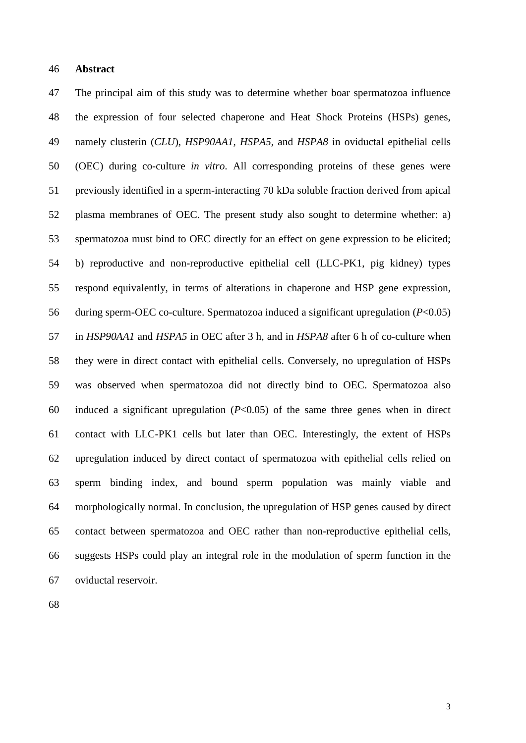#### **Abstract**

 The principal aim of this study was to determine whether boar spermatozoa influence the expression of four selected chaperone and Heat Shock Proteins (HSPs) genes, namely clusterin (*CLU*), *HSP90AA1*, *HSPA5*, and *HSPA8* in oviductal epithelial cells (OEC) during co-culture *in vitro*. All corresponding proteins of these genes were previously identified in a sperm-interacting 70 kDa soluble fraction derived from apical plasma membranes of OEC. The present study also sought to determine whether: a) spermatozoa must bind to OEC directly for an effect on gene expression to be elicited; b) reproductive and non-reproductive epithelial cell (LLC-PK1, pig kidney) types respond equivalently, in terms of alterations in chaperone and HSP gene expression, during sperm-OEC co-culture. Spermatozoa induced a significant upregulation (*P*<0.05) in *HSP90AA1* and *HSPA5* in OEC after 3 h, and in *HSPA8* after 6 h of co-culture when they were in direct contact with epithelial cells. Conversely, no upregulation of HSPs was observed when spermatozoa did not directly bind to OEC. Spermatozoa also induced a significant upregulation (*P*<0.05) of the same three genes when in direct contact with LLC-PK1 cells but later than OEC. Interestingly, the extent of HSPs upregulation induced by direct contact of spermatozoa with epithelial cells relied on sperm binding index, and bound sperm population was mainly viable and morphologically normal. In conclusion, the upregulation of HSP genes caused by direct contact between spermatozoa and OEC rather than non-reproductive epithelial cells, suggests HSPs could play an integral role in the modulation of sperm function in the oviductal reservoir.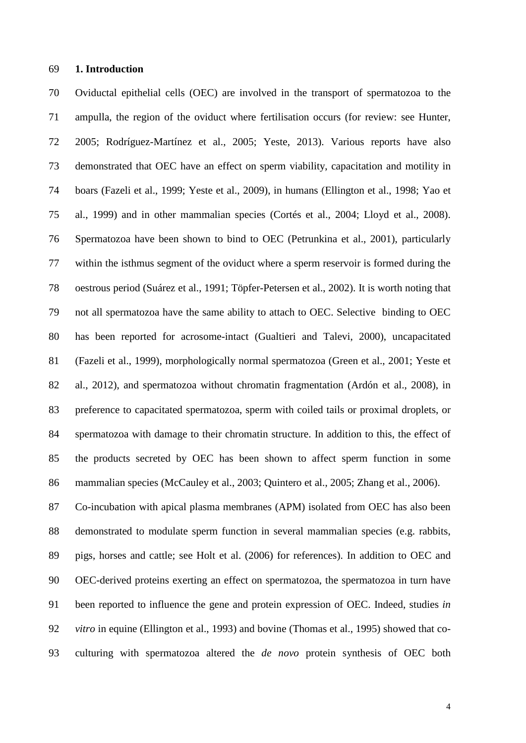# **1. Introduction**

 Oviductal epithelial cells (OEC) are involved in the transport of spermatozoa to the ampulla, the region of the oviduct where fertilisation occurs (for review: see Hunter, 2005; Rodríguez-Martínez et al., 2005; Yeste, 2013). Various reports have also demonstrated that OEC have an effect on sperm viability, capacitation and motility in boars (Fazeli et al., 1999; Yeste et al., 2009), in humans (Ellington et al., 1998; Yao et al., 1999) and in other mammalian species (Cortés et al., 2004; Lloyd et al., 2008). Spermatozoa have been shown to bind to OEC (Petrunkina et al., 2001), particularly within the isthmus segment of the oviduct where a sperm reservoir is formed during the oestrous period (Suárez et al., 1991; Töpfer-Petersen et al., 2002). It is worth noting that not all spermatozoa have the same ability to attach to OEC. Selective binding to OEC has been reported for acrosome-intact (Gualtieri and Talevi, 2000), uncapacitated (Fazeli et al., 1999), morphologically normal spermatozoa (Green et al., 2001; Yeste et al., 2012), and spermatozoa without chromatin fragmentation (Ardón et al., 2008), in preference to capacitated spermatozoa, sperm with coiled tails or proximal droplets, or spermatozoa with damage to their chromatin structure. In addition to this, the effect of the products secreted by OEC has been shown to affect sperm function in some mammalian species (McCauley et al., 2003; Quintero et al., 2005; Zhang et al., 2006). Co-incubation with apical plasma membranes (APM) isolated from OEC has also been demonstrated to modulate sperm function in several mammalian species (e.g. rabbits, pigs, horses and cattle; see Holt et al. (2006) for references). In addition to OEC and OEC-derived proteins exerting an effect on spermatozoa, the spermatozoa in turn have been reported to influence the gene and protein expression of OEC. Indeed, studies *in vitro* in equine (Ellington et al., 1993) and bovine (Thomas et al., 1995) showed that co-culturing with spermatozoa altered the *de novo* protein synthesis of OEC both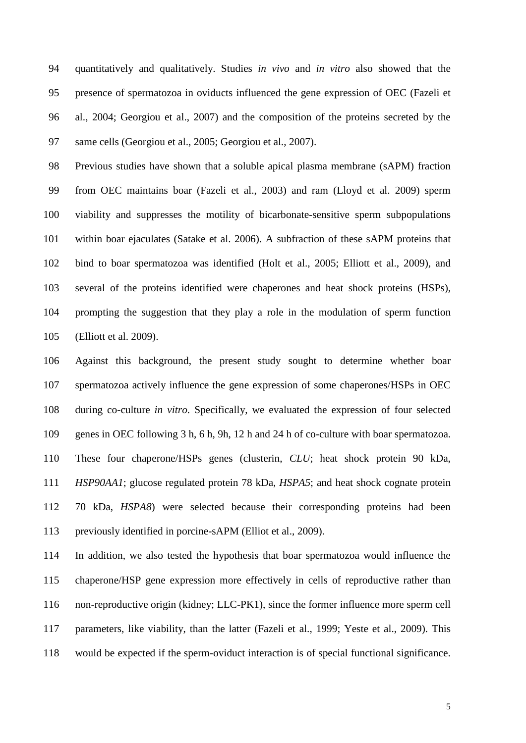quantitatively and qualitatively. Studies *in vivo* and *in vitro* also showed that the presence of spermatozoa in oviducts influenced the gene expression of OEC (Fazeli et al., 2004; Georgiou et al., 2007) and the composition of the proteins secreted by the same cells (Georgiou et al., 2005; Georgiou et al., 2007).

 Previous studies have shown that a soluble apical plasma membrane (sAPM) fraction from OEC maintains boar (Fazeli et al., 2003) and ram (Lloyd et al. 2009) sperm viability and suppresses the motility of bicarbonate-sensitive sperm subpopulations within boar ejaculates (Satake et al. 2006). A subfraction of these sAPM proteins that bind to boar spermatozoa was identified (Holt et al., 2005; Elliott et al., 2009), and several of the proteins identified were chaperones and heat shock proteins (HSPs), prompting the suggestion that they play a role in the modulation of sperm function (Elliott et al. 2009).

 Against this background, the present study sought to determine whether boar spermatozoa actively influence the gene expression of some chaperones/HSPs in OEC during co-culture *in vitro*. Specifically, we evaluated the expression of four selected genes in OEC following 3 h, 6 h, 9h, 12 h and 24 h of co-culture with boar spermatozoa. These four chaperone/HSPs genes (clusterin, *CLU*; heat shock protein 90 kDa, *HSP90AA1*; glucose regulated protein 78 kDa, *HSPA5*; and heat shock cognate protein 70 kDa, *HSPA8*) were selected because their corresponding proteins had been previously identified in porcine-sAPM (Elliot et al., 2009).

 In addition, we also tested the hypothesis that boar spermatozoa would influence the chaperone/HSP gene expression more effectively in cells of reproductive rather than non-reproductive origin (kidney; LLC-PK1), since the former influence more sperm cell parameters, like viability, than the latter (Fazeli et al., 1999; Yeste et al., 2009). This would be expected if the sperm-oviduct interaction is of special functional significance.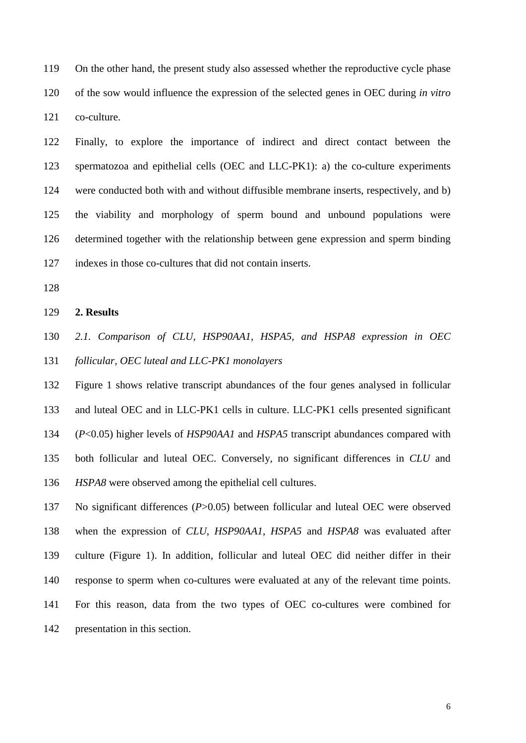On the other hand, the present study also assessed whether the reproductive cycle phase of the sow would influence the expression of the selected genes in OEC during *in vitro* co-culture.

 Finally, to explore the importance of indirect and direct contact between the spermatozoa and epithelial cells (OEC and LLC-PK1): a) the co-culture experiments were conducted both with and without diffusible membrane inserts, respectively, and b) the viability and morphology of sperm bound and unbound populations were determined together with the relationship between gene expression and sperm binding indexes in those co-cultures that did not contain inserts.

#### **2. Results**

*2.1. Comparison of CLU, HSP90AA1, HSPA5, and HSPA8 expression in OEC* 

*follicular, OEC luteal and LLC-PK1 monolayers*

 Figure 1 shows relative transcript abundances of the four genes analysed in follicular and luteal OEC and in LLC-PK1 cells in culture. LLC-PK1 cells presented significant (*P*<0.05) higher levels of *HSP90AA1* and *HSPA5* transcript abundances compared with both follicular and luteal OEC. Conversely, no significant differences in *CLU* and *HSPA8* were observed among the epithelial cell cultures.

 No significant differences (*P*>0.05) between follicular and luteal OEC were observed when the expression of *CLU*, *HSP90AA1*, *HSPA5* and *HSPA8* was evaluated after culture (Figure 1). In addition, follicular and luteal OEC did neither differ in their response to sperm when co-cultures were evaluated at any of the relevant time points. For this reason, data from the two types of OEC co-cultures were combined for presentation in this section.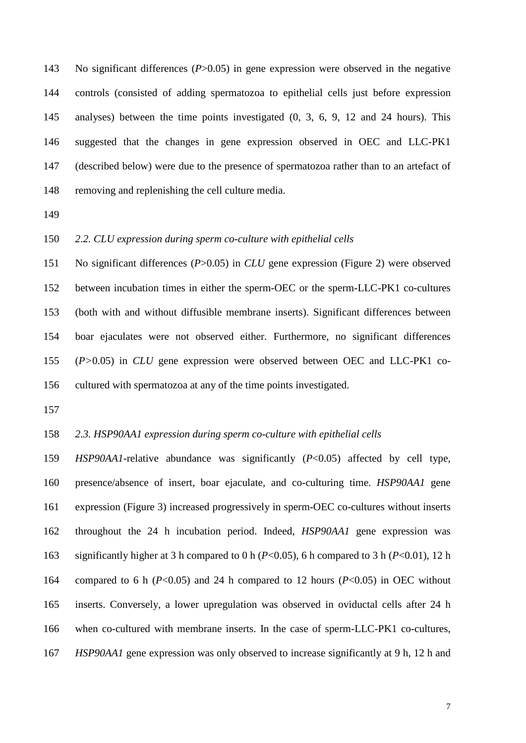No significant differences (*P*>0.05) in gene expression were observed in the negative controls (consisted of adding spermatozoa to epithelial cells just before expression analyses) between the time points investigated (0, 3, 6, 9, 12 and 24 hours). This suggested that the changes in gene expression observed in OEC and LLC-PK1 (described below) were due to the presence of spermatozoa rather than to an artefact of removing and replenishing the cell culture media.

### *2.2. CLU expression during sperm co-culture with epithelial cells*

 No significant differences (*P*>0.05) in *CLU* gene expression (Figure 2) were observed between incubation times in either the sperm-OEC or the sperm-LLC-PK1 co-cultures (both with and without diffusible membrane inserts). Significant differences between boar ejaculates were not observed either. Furthermore, no significant differences (*P>*0.05) in *CLU* gene expression were observed between OEC and LLC-PK1 co-cultured with spermatozoa at any of the time points investigated.

### *2.3. HSP90AA1 expression during sperm co-culture with epithelial cells*

 *HSP90AA1*-relative abundance was significantly (*P*<0.05) affected by cell type, presence/absence of insert, boar ejaculate, and co-culturing time. *HSP90AA1* gene expression (Figure 3) increased progressively in sperm-OEC co-cultures without inserts throughout the 24 h incubation period. Indeed, *HSP90AA1* gene expression was significantly higher at 3 h compared to 0 h (*P*<0.05), 6 h compared to 3 h (*P*<0.01), 12 h compared to 6 h (*P*<0.05) and 24 h compared to 12 hours (*P*<0.05) in OEC without inserts. Conversely, a lower upregulation was observed in oviductal cells after 24 h when co-cultured with membrane inserts. In the case of sperm-LLC-PK1 co-cultures, *HSP90AA1* gene expression was only observed to increase significantly at 9 h, 12 h and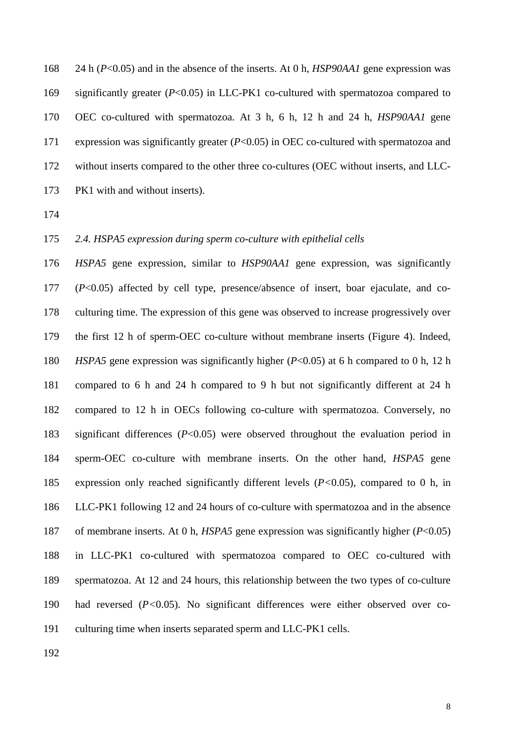24 h (*P*<0.05) and in the absence of the inserts. At 0 h, *HSP90AA1* gene expression was significantly greater (*P*<0.05) in LLC-PK1 co-cultured with spermatozoa compared to OEC co-cultured with spermatozoa. At 3 h, 6 h, 12 h and 24 h, *HSP90AA1* gene expression was significantly greater (*P*<0.05) in OEC co-cultured with spermatozoa and without inserts compared to the other three co-cultures (OEC without inserts, and LLC-PK1 with and without inserts).

# *2.4. HSPA5 expression during sperm co-culture with epithelial cells*

 *HSPA5* gene expression, similar to *HSP90AA1* gene expression, was significantly (*P*<0.05) affected by cell type, presence/absence of insert, boar ejaculate, and co- culturing time. The expression of this gene was observed to increase progressively over the first 12 h of sperm-OEC co-culture without membrane inserts (Figure 4). Indeed, *HSPA5* gene expression was significantly higher (*P*<0.05) at 6 h compared to 0 h, 12 h compared to 6 h and 24 h compared to 9 h but not significantly different at 24 h compared to 12 h in OECs following co-culture with spermatozoa. Conversely, no significant differences (*P*<0.05) were observed throughout the evaluation period in sperm-OEC co-culture with membrane inserts. On the other hand, *HSPA5* gene expression only reached significantly different levels (*P<*0.05), compared to 0 h, in LLC-PK1 following 12 and 24 hours of co-culture with spermatozoa and in the absence of membrane inserts. At 0 h, *HSPA5* gene expression was significantly higher (*P*<0.05) in LLC-PK1 co-cultured with spermatozoa compared to OEC co-cultured with spermatozoa. At 12 and 24 hours, this relationship between the two types of co-culture had reversed (*P<*0.05). No significant differences were either observed over co-culturing time when inserts separated sperm and LLC-PK1 cells.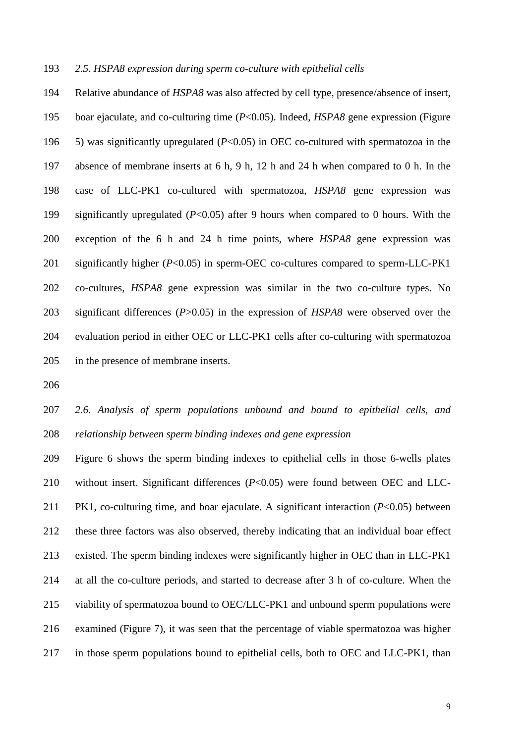### *2.5. HSPA8 expression during sperm co-culture with epithelial cells*

 Relative abundance of *HSPA8* was also affected by cell type, presence/absence of insert, boar ejaculate, and co-culturing time (*P*<0.05). Indeed, *HSPA8* gene expression (Figure 5) was significantly upregulated (*P*<0.05) in OEC co-cultured with spermatozoa in the absence of membrane inserts at 6 h, 9 h, 12 h and 24 h when compared to 0 h. In the case of LLC-PK1 co-cultured with spermatozoa, *HSPA8* gene expression was significantly upregulated (*P*<0.05) after 9 hours when compared to 0 hours. With the exception of the 6 h and 24 h time points, where *HSPA8* gene expression was significantly higher (*P*<0.05) in sperm-OEC co-cultures compared to sperm-LLC-PK1 co-cultures, *HSPA8* gene expression was similar in the two co-culture types. No significant differences (*P*>0.05) in the expression of *HSPA8* were observed over the evaluation period in either OEC or LLC-PK1 cells after co-culturing with spermatozoa in the presence of membrane inserts.

 *2.6. Analysis of sperm populations unbound and bound to epithelial cells, and relationship between sperm binding indexes and gene expression*

 Figure 6 shows the sperm binding indexes to epithelial cells in those 6-wells plates without insert. Significant differences (*P*<0.05) were found between OEC and LLC- PK1, co-culturing time, and boar ejaculate. A significant interaction (*P*<0.05) between these three factors was also observed, thereby indicating that an individual boar effect existed. The sperm binding indexes were significantly higher in OEC than in LLC-PK1 at all the co-culture periods, and started to decrease after 3 h of co-culture. When the viability of spermatozoa bound to OEC/LLC-PK1 and unbound sperm populations were examined (Figure 7), it was seen that the percentage of viable spermatozoa was higher in those sperm populations bound to epithelial cells, both to OEC and LLC-PK1, than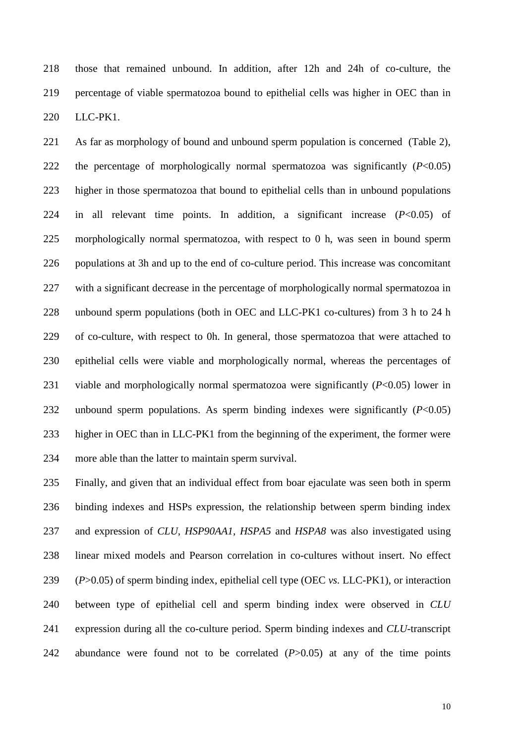those that remained unbound. In addition, after 12h and 24h of co-culture, the percentage of viable spermatozoa bound to epithelial cells was higher in OEC than in LLC-PK1.

 As far as morphology of bound and unbound sperm population is concerned (Table 2), the percentage of morphologically normal spermatozoa was significantly (*P*<0.05) higher in those spermatozoa that bound to epithelial cells than in unbound populations in all relevant time points. In addition, a significant increase (*P*<0.05) of morphologically normal spermatozoa, with respect to 0 h, was seen in bound sperm populations at 3h and up to the end of co-culture period. This increase was concomitant with a significant decrease in the percentage of morphologically normal spermatozoa in unbound sperm populations (both in OEC and LLC-PK1 co-cultures) from 3 h to 24 h of co-culture, with respect to 0h. In general, those spermatozoa that were attached to epithelial cells were viable and morphologically normal, whereas the percentages of viable and morphologically normal spermatozoa were significantly (*P*<0.05) lower in unbound sperm populations. As sperm binding indexes were significantly (*P*<0.05) higher in OEC than in LLC-PK1 from the beginning of the experiment, the former were more able than the latter to maintain sperm survival.

 Finally, and given that an individual effect from boar ejaculate was seen both in sperm binding indexes and HSPs expression, the relationship between sperm binding index and expression of *CLU*, *HSP90AA1*, *HSPA5* and *HSPA8* was also investigated using linear mixed models and Pearson correlation in co-cultures without insert. No effect (*P*>0.05) of sperm binding index, epithelial cell type (OEC *vs.* LLC-PK1), or interaction between type of epithelial cell and sperm binding index were observed in *CLU*  expression during all the co-culture period. Sperm binding indexes and *CLU*-transcript abundance were found not to be correlated (*P*>0.05) at any of the time points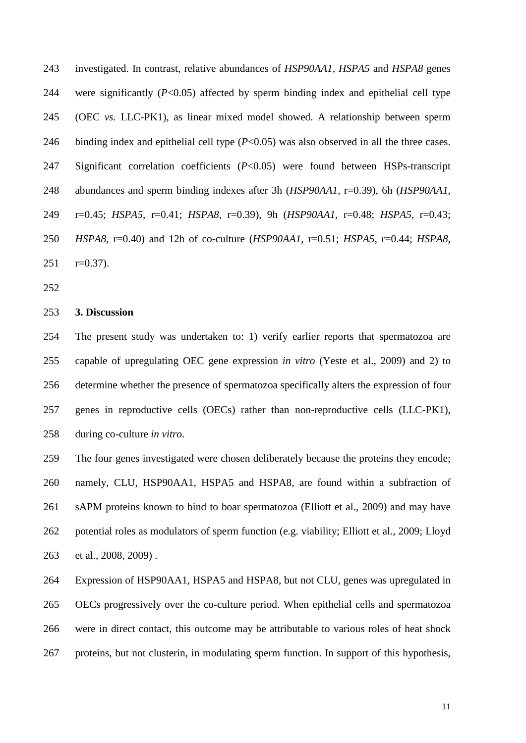investigated. In contrast, relative abundances of *HSP90AA1, HSPA5* and *HSPA8* genes were significantly (*P*<0.05) affected by sperm binding index and epithelial cell type (OEC *vs.* LLC-PK1), as linear mixed model showed. A relationship between sperm 246 binding index and epithelial cell type (*P*<0.05) was also observed in all the three cases. Significant correlation coefficients (*P*<0.05) were found between HSPs-transcript abundances and sperm binding indexes after 3h (*HSP90AA1*, r=0.39), 6h (*HSP90AA1*, r=0.45; *HSPA5*, r=0.41; *HSPA8*, r=0.39), 9h (*HSP90AA1*, r=0.48; *HSPA5*, r=0.43; *HSPA8*, r=0.40) and 12h of co-culture (*HSP90AA1*, r=0.51; *HSPA5*, r=0.44; *HSPA8*, r=0.37).

#### **3. Discussion**

 The present study was undertaken to: 1) verify earlier reports that spermatozoa are capable of upregulating OEC gene expression *in vitro* (Yeste et al., 2009) and 2) to determine whether the presence of spermatozoa specifically alters the expression of four genes in reproductive cells (OECs) rather than non-reproductive cells (LLC-PK1), during co-culture *in vitro*.

 The four genes investigated were chosen deliberately because the proteins they encode; namely, CLU, HSP90AA1, HSPA5 and HSPA8, are found within a subfraction of sAPM proteins known to bind to boar spermatozoa (Elliott et al., 2009) and may have potential roles as modulators of sperm function (e.g. viability; Elliott et al., 2009; Lloyd et al., 2008, 2009) .

 Expression of HSP90AA1, HSPA5 and HSPA8, but not CLU, genes was upregulated in OECs progressively over the co-culture period. When epithelial cells and spermatozoa were in direct contact, this outcome may be attributable to various roles of heat shock proteins, but not clusterin, in modulating sperm function. In support of this hypothesis,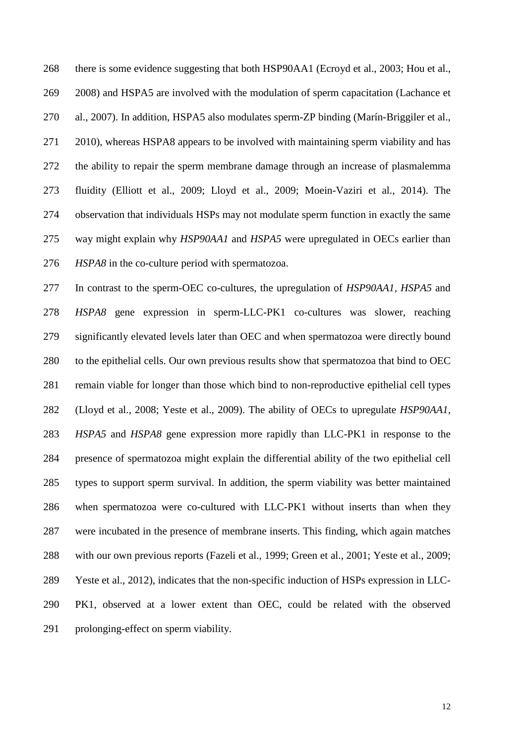there is some evidence suggesting that both HSP90AA1 (Ecroyd et al., 2003; Hou et al., 2008) and HSPA5 are involved with the modulation of sperm capacitation (Lachance et al., 2007). In addition, HSPA5 also modulates sperm-ZP binding (Marín-Briggiler et al., 2010), whereas HSPA8 appears to be involved with maintaining sperm viability and has the ability to repair the sperm membrane damage through an increase of plasmalemma fluidity (Elliott et al., 2009; Lloyd et al., 2009; Moein-Vaziri et al., 2014). The observation that individuals HSPs may not modulate sperm function in exactly the same way might explain why *HSP90AA1* and *HSPA5* were upregulated in OECs earlier than *HSPA8* in the co-culture period with spermatozoa.

 In contrast to the sperm-OEC co-cultures, the upregulation of *HSP90AA1, HSPA5* and *HSPA8* gene expression in sperm-LLC-PK1 co-cultures was slower, reaching significantly elevated levels later than OEC and when spermatozoa were directly bound to the epithelial cells. Our own previous results show that spermatozoa that bind to OEC remain viable for longer than those which bind to non-reproductive epithelial cell types (Lloyd et al., 2008; Yeste et al., 2009). The ability of OECs to upregulate *HSP90AA1, HSPA5* and *HSPA8* gene expression more rapidly than LLC-PK1 in response to the presence of spermatozoa might explain the differential ability of the two epithelial cell types to support sperm survival. In addition, the sperm viability was better maintained when spermatozoa were co-cultured with LLC-PK1 without inserts than when they were incubated in the presence of membrane inserts. This finding, which again matches with our own previous reports (Fazeli et al., 1999; Green et al., 2001; Yeste et al., 2009; Yeste et al., 2012), indicates that the non-specific induction of HSPs expression in LLC- PK1, observed at a lower extent than OEC, could be related with the observed prolonging-effect on sperm viability.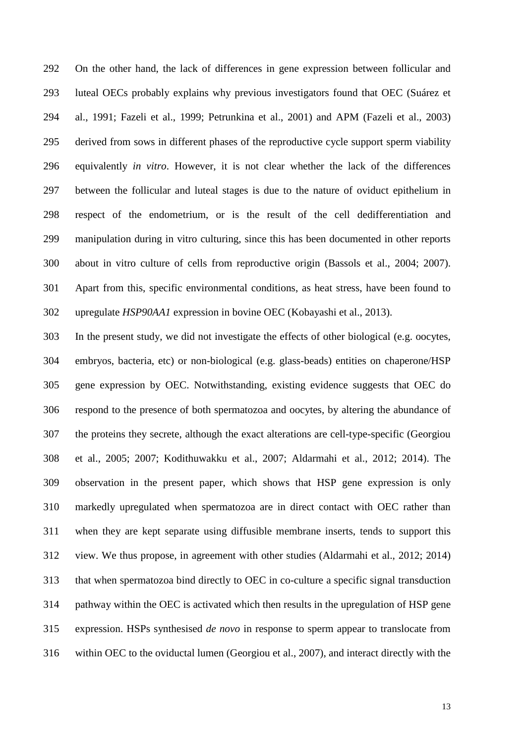On the other hand, the lack of differences in gene expression between follicular and luteal OECs probably explains why previous investigators found that OEC (Suárez et al., 1991; Fazeli et al., 1999; Petrunkina et al., 2001) and APM (Fazeli et al., 2003) derived from sows in different phases of the reproductive cycle support sperm viability equivalently *in vitro*. However, it is not clear whether the lack of the differences between the follicular and luteal stages is due to the nature of oviduct epithelium in respect of the endometrium, or is the result of the cell dedifferentiation and manipulation during in vitro culturing, since this has been documented in other reports about in vitro culture of cells from reproductive origin (Bassols et al., 2004; 2007). Apart from this, specific environmental conditions, as heat stress, have been found to upregulate *HSP90AA1* expression in bovine OEC (Kobayashi et al., 2013).

 In the present study, we did not investigate the effects of other biological (e.g. oocytes, embryos, bacteria, etc) or non-biological (e.g. glass-beads) entities on chaperone/HSP gene expression by OEC. Notwithstanding, existing evidence suggests that OEC do respond to the presence of both spermatozoa and oocytes, by altering the abundance of the proteins they secrete, although the exact alterations are cell-type-specific (Georgiou et al., 2005; 2007; Kodithuwakku et al., 2007; Aldarmahi et al., 2012; 2014). The observation in the present paper, which shows that HSP gene expression is only markedly upregulated when spermatozoa are in direct contact with OEC rather than when they are kept separate using diffusible membrane inserts, tends to support this view. We thus propose, in agreement with other studies (Aldarmahi et al., 2012; 2014) that when spermatozoa bind directly to OEC in co-culture a specific signal transduction pathway within the OEC is activated which then results in the upregulation of HSP gene expression. HSPs synthesised *de novo* in response to sperm appear to translocate from within OEC to the oviductal lumen (Georgiou et al., 2007), and interact directly with the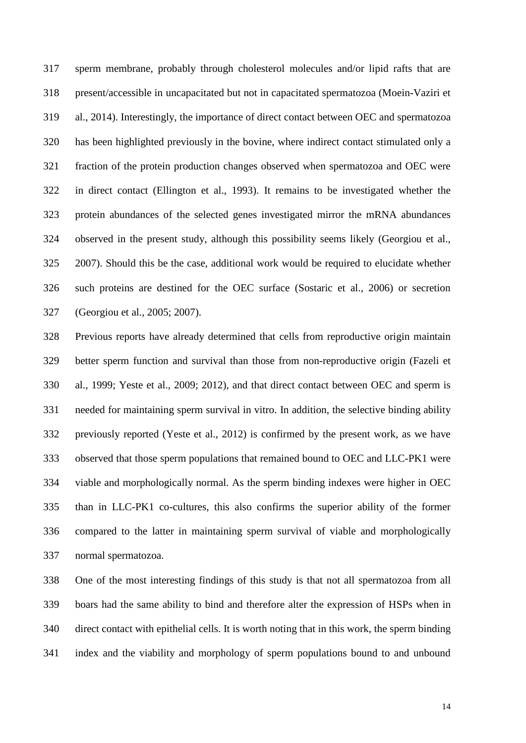sperm membrane, probably through cholesterol molecules and/or lipid rafts that are present/accessible in uncapacitated but not in capacitated spermatozoa (Moein-Vaziri et al., 2014). Interestingly, the importance of direct contact between OEC and spermatozoa has been highlighted previously in the bovine, where indirect contact stimulated only a fraction of the protein production changes observed when spermatozoa and OEC were in direct contact (Ellington et al., 1993). It remains to be investigated whether the protein abundances of the selected genes investigated mirror the mRNA abundances observed in the present study, although this possibility seems likely (Georgiou et al., 2007). Should this be the case, additional work would be required to elucidate whether such proteins are destined for the OEC surface (Sostaric et al., 2006) or secretion (Georgiou et al., 2005; 2007).

 Previous reports have already determined that cells from reproductive origin maintain better sperm function and survival than those from non-reproductive origin (Fazeli et al., 1999; Yeste et al., 2009; 2012), and that direct contact between OEC and sperm is needed for maintaining sperm survival in vitro. In addition, the selective binding ability previously reported (Yeste et al., 2012) is confirmed by the present work, as we have observed that those sperm populations that remained bound to OEC and LLC-PK1 were viable and morphologically normal. As the sperm binding indexes were higher in OEC than in LLC-PK1 co-cultures, this also confirms the superior ability of the former compared to the latter in maintaining sperm survival of viable and morphologically normal spermatozoa.

 One of the most interesting findings of this study is that not all spermatozoa from all boars had the same ability to bind and therefore alter the expression of HSPs when in direct contact with epithelial cells. It is worth noting that in this work, the sperm binding index and the viability and morphology of sperm populations bound to and unbound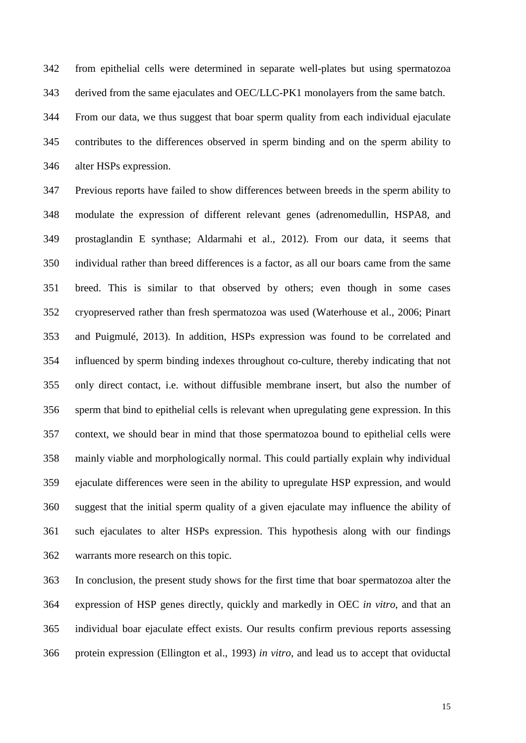from epithelial cells were determined in separate well-plates but using spermatozoa derived from the same ejaculates and OEC/LLC-PK1 monolayers from the same batch.

 From our data, we thus suggest that boar sperm quality from each individual ejaculate contributes to the differences observed in sperm binding and on the sperm ability to alter HSPs expression.

 Previous reports have failed to show differences between breeds in the sperm ability to modulate the expression of different relevant genes (adrenomedullin, HSPA8, and prostaglandin E synthase; Aldarmahi et al., 2012). From our data, it seems that individual rather than breed differences is a factor, as all our boars came from the same breed. This is similar to that observed by others; even though in some cases cryopreserved rather than fresh spermatozoa was used (Waterhouse et al., 2006; Pinart and Puigmulé, 2013). In addition, HSPs expression was found to be correlated and influenced by sperm binding indexes throughout co-culture, thereby indicating that not only direct contact, i.e. without diffusible membrane insert, but also the number of sperm that bind to epithelial cells is relevant when upregulating gene expression. In this context, we should bear in mind that those spermatozoa bound to epithelial cells were mainly viable and morphologically normal. This could partially explain why individual ejaculate differences were seen in the ability to upregulate HSP expression, and would suggest that the initial sperm quality of a given ejaculate may influence the ability of such ejaculates to alter HSPs expression. This hypothesis along with our findings warrants more research on this topic.

 In conclusion, the present study shows for the first time that boar spermatozoa alter the expression of HSP genes directly, quickly and markedly in OEC *in vitro*, and that an individual boar ejaculate effect exists. Our results confirm previous reports assessing protein expression (Ellington et al., 1993) *in vitro*, and lead us to accept that oviductal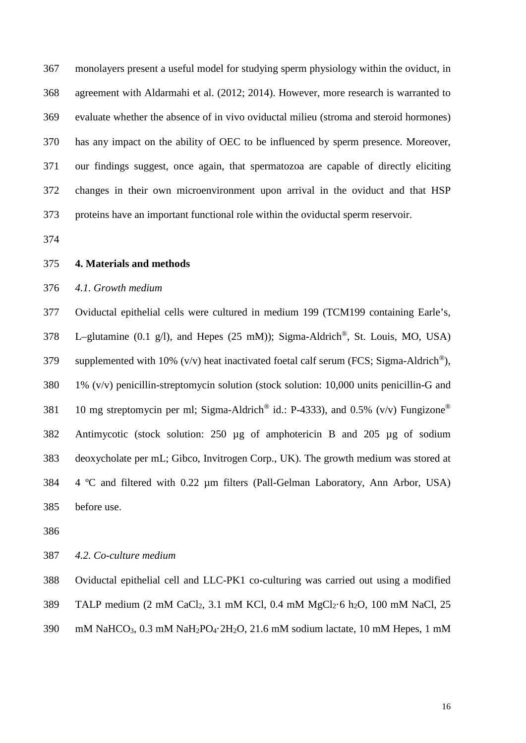monolayers present a useful model for studying sperm physiology within the oviduct, in agreement with Aldarmahi et al. (2012; 2014). However, more research is warranted to evaluate whether the absence of in vivo oviductal milieu (stroma and steroid hormones) has any impact on the ability of OEC to be influenced by sperm presence. Moreover, our findings suggest, once again, that spermatozoa are capable of directly eliciting changes in their own microenvironment upon arrival in the oviduct and that HSP proteins have an important functional role within the oviductal sperm reservoir.

**4. Materials and methods**

# *4.1. Growth medium*

 Oviductal epithelial cells were cultured in medium 199 (TCM199 containing Earle's, 378 L–glutamine (0.1 g/l), and Hepes (25 mM)); Sigma-Aldrich<sup>®</sup>, St. Louis, MO, USA) 379 supplemented with 10% (v/v) heat inactivated foetal calf serum (FCS; Sigma-Aldrich<sup>®</sup>), 1% (v/v) penicillin-streptomycin solution (stock solution: 10,000 units penicillin-G and 381 10 mg streptomycin per ml; Sigma-Aldrich<sup>®</sup> id.: P-4333), and 0.5% (v/v) Fungizone<sup>®</sup> Antimycotic (stock solution: 250 µg of amphotericin B and 205 µg of sodium deoxycholate per mL; Gibco, Invitrogen Corp., UK). The growth medium was stored at 4 ºC and filtered with 0.22 µm filters (Pall-Gelman Laboratory, Ann Arbor, USA) before use.

*4.2. Co-culture medium*

 Oviductal epithelial cell and LLC-PK1 co-culturing was carried out using a modified TALP medium (2 mM CaCl2, 3.1 mM KCl, 0.4 mM MgCl2·6 h2O, 100 mM NaCl, 25

mM NaHCO3, 0.3 mM NaH2PO4·2H2O, 21.6 mM sodium lactate, 10 mM Hepes, 1 mM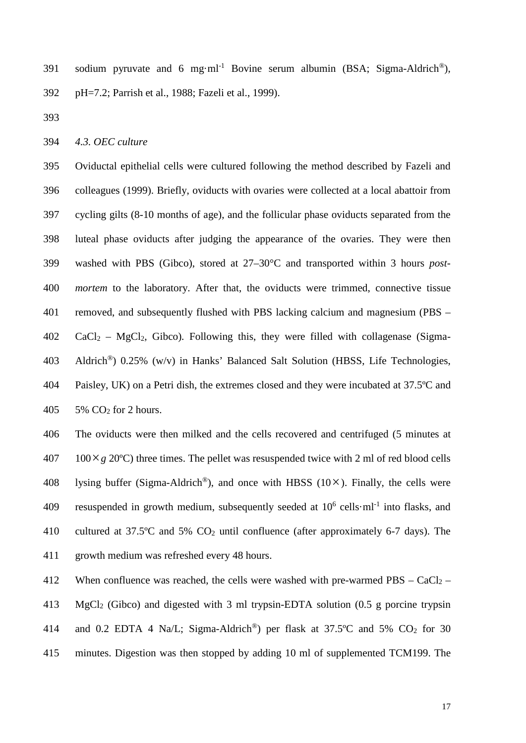391 sodium pyruvate and 6 mg·ml<sup>-1</sup> Bovine serum albumin (BSA; Sigma-Aldrich<sup>®</sup>), pH=7.2; Parrish et al., 1988; Fazeli et al., 1999).

*4.3. OEC culture*

 Oviductal epithelial cells were cultured following the method described by Fazeli and colleagues (1999). Briefly, oviducts with ovaries were collected at a local abattoir from cycling gilts (8-10 months of age), and the follicular phase oviducts separated from the luteal phase oviducts after judging the appearance of the ovaries. They were then washed with PBS (Gibco), stored at 27–30°C and transported within 3 hours *post- mortem* to the laboratory. After that, the oviducts were trimmed, connective tissue removed, and subsequently flushed with PBS lacking calcium and magnesium (PBS – CaCl<sub>2</sub> – MgCl<sub>2</sub>, Gibco). Following this, they were filled with collagenase (Sigma-403 Aldrich<sup>®</sup>) 0.25% (w/v) in Hanks' Balanced Salt Solution (HBSS, Life Technologies, Paisley, UK) on a Petri dish, the extremes closed and they were incubated at 37.5ºC and 5% CO2 for 2 hours.

 The oviducts were then milked and the cells recovered and centrifuged (5 minutes at 100 × g 20 °C) three times. The pellet was resuspended twice with 2 ml of red blood cells 408 lysing buffer (Sigma-Aldrich<sup>®</sup>), and once with HBSS ( $10\times$ ). Finally, the cells were 409 resuspended in growth medium, subsequently seeded at  $10^6$  cells·ml<sup>-1</sup> into flasks, and cultured at 37.5ºC and 5% CO2 until confluence (after approximately 6-7 days). The growth medium was refreshed every 48 hours.

412 When confluence was reached, the cells were washed with pre-warmed  $PBS - CaCl<sub>2</sub> -$  MgCl2 (Gibco) and digested with 3 ml trypsin-EDTA solution (0.5 g porcine trypsin 414 and 0.2 EDTA 4 Na/L; Sigma-Aldrich<sup>®</sup>) per flask at  $37.5^{\circ}$ C and  $5\%$  CO<sub>2</sub> for 30 minutes. Digestion was then stopped by adding 10 ml of supplemented TCM199. The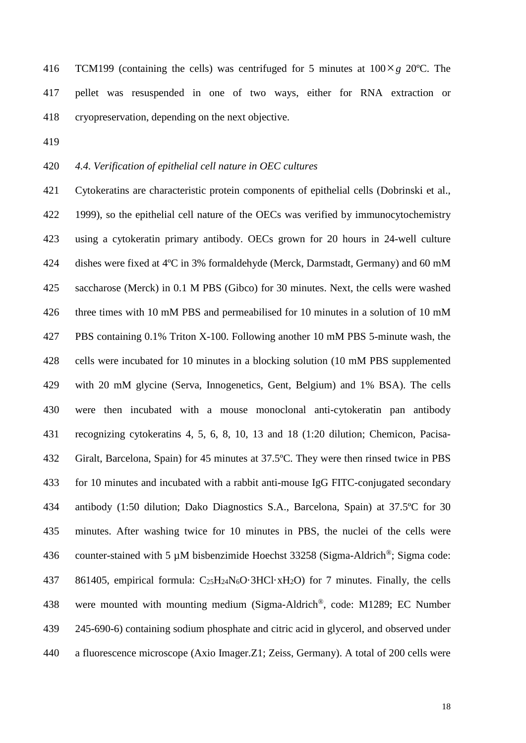416 TCM199 (containing the cells) was centrifuged for 5 minutes at  $100 \times g$  20°C. The pellet was resuspended in one of two ways, either for RNA extraction or cryopreservation, depending on the next objective.

#### *4.4. Verification of epithelial cell nature in OEC cultures*

 Cytokeratins are characteristic protein components of epithelial cells (Dobrinski et al., 1999), so the epithelial cell nature of the OECs was verified by immunocytochemistry using a cytokeratin primary antibody. OECs grown for 20 hours in 24-well culture dishes were fixed at 4ºC in 3% formaldehyde (Merck, Darmstadt, Germany) and 60 mM saccharose (Merck) in 0.1 M PBS (Gibco) for 30 minutes. Next, the cells were washed three times with 10 mM PBS and permeabilised for 10 minutes in a solution of 10 mM PBS containing 0.1% Triton X-100. Following another 10 mM PBS 5-minute wash, the cells were incubated for 10 minutes in a blocking solution (10 mM PBS supplemented with 20 mM glycine (Serva, Innogenetics, Gent, Belgium) and 1% BSA). The cells were then incubated with a mouse monoclonal anti-cytokeratin pan antibody recognizing cytokeratins 4, 5, 6, 8, 10, 13 and 18 (1:20 dilution; Chemicon, Pacisa- Giralt, Barcelona, Spain) for 45 minutes at 37.5ºC. They were then rinsed twice in PBS for 10 minutes and incubated with a rabbit anti-mouse IgG FITC-conjugated secondary antibody (1:50 dilution; Dako Diagnostics S.A., Barcelona, Spain) at 37.5ºC for 30 minutes. After washing twice for 10 minutes in PBS, the nuclei of the cells were 436 counter-stained with 5  $\mu$ M bisbenzimide Hoechst 33258 (Sigma-Aldrich<sup>®</sup>; Sigma code: 861405, empirical formula: C25H24N6O·3HCl·xH2O) for 7 minutes. Finally, the cells 438 were mounted with mounting medium (Sigma-Aldrich<sup>®</sup>, code: M1289; EC Number 245-690-6) containing sodium phosphate and citric acid in glycerol, and observed under a fluorescence microscope (Axio Imager.Z1; Zeiss, Germany). A total of 200 cells were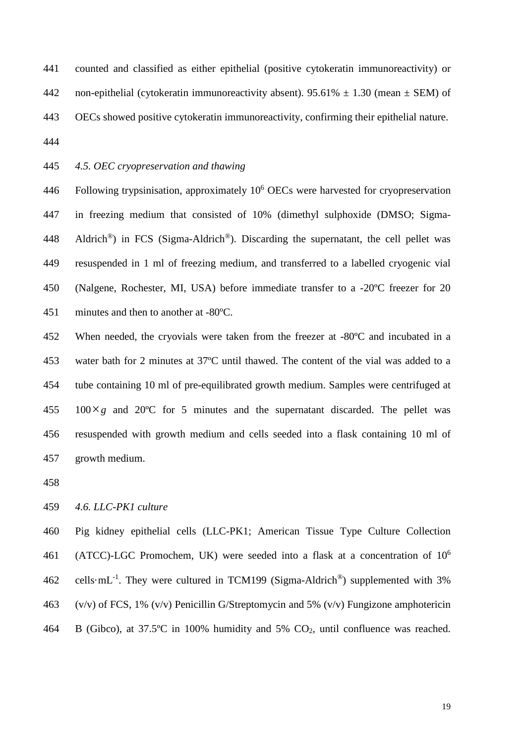counted and classified as either epithelial (positive cytokeratin immunoreactivity) or 442 non-epithelial (cytokeratin immunoreactivity absent).  $95.61\% \pm 1.30$  (mean  $\pm$  SEM) of OECs showed positive cytokeratin immunoreactivity, confirming their epithelial nature. 

# *4.5. OEC cryopreservation and thawing*

446 Following trypsinisation, approximately  $10<sup>6</sup>$  OECs were harvested for cryopreservation in freezing medium that consisted of 10% (dimethyl sulphoxide (DMSO; Sigma-448 Aldrich<sup>®</sup>) in FCS (Sigma-Aldrich<sup>®</sup>). Discarding the supernatant, the cell pellet was resuspended in 1 ml of freezing medium, and transferred to a labelled cryogenic vial (Nalgene, Rochester, MI, USA) before immediate transfer to a -20ºC freezer for 20 minutes and then to another at -80ºC.

452 When needed, the cryovials were taken from the freezer at -80°C and incubated in a water bath for 2 minutes at 37ºC until thawed. The content of the vial was added to a tube containing 10 ml of pre-equilibrated growth medium. Samples were centrifuged at  $100 \times g$  and 20<sup>o</sup>C for 5 minutes and the supernatant discarded. The pellet was resuspended with growth medium and cells seeded into a flask containing 10 ml of growth medium.

# *4.6. LLC-PK1 culture*

 Pig kidney epithelial cells (LLC-PK1; American Tissue Type Culture Collection 461 (ATCC)-LGC Promochem, UK) were seeded into a flask at a concentration of  $10<sup>6</sup>$ 462 cells·mL<sup>-1</sup>. They were cultured in TCM199 (Sigma-Aldrich<sup>®</sup>) supplemented with 3% (v/v) of FCS, 1% (v/v) Penicillin G/Streptomycin and 5% (v/v) Fungizone amphotericin B (Gibco), at 37.5ºC in 100% humidity and 5% CO2, until confluence was reached.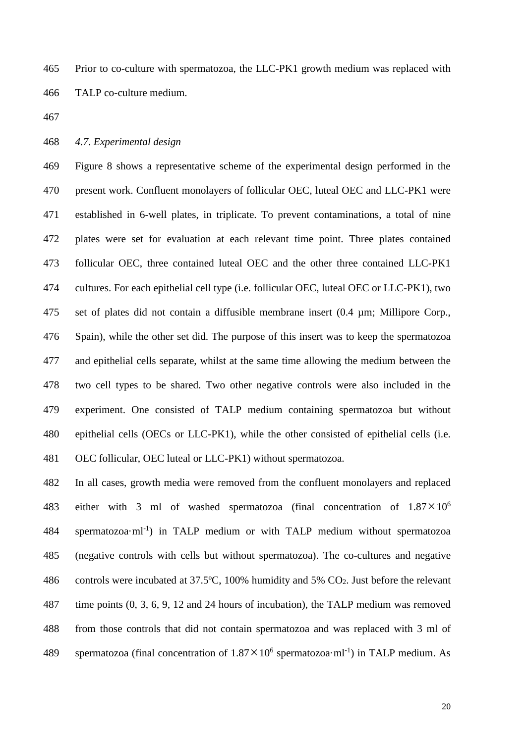Prior to co-culture with spermatozoa, the LLC-PK1 growth medium was replaced with TALP co-culture medium.

# *4.7. Experimental design*

 Figure 8 shows a representative scheme of the experimental design performed in the present work. Confluent monolayers of follicular OEC, luteal OEC and LLC-PK1 were established in 6-well plates, in triplicate. To prevent contaminations, a total of nine plates were set for evaluation at each relevant time point. Three plates contained follicular OEC, three contained luteal OEC and the other three contained LLC-PK1 cultures. For each epithelial cell type (i.e. follicular OEC, luteal OEC or LLC-PK1), two set of plates did not contain a diffusible membrane insert (0.4 µm; Millipore Corp., Spain), while the other set did. The purpose of this insert was to keep the spermatozoa and epithelial cells separate, whilst at the same time allowing the medium between the two cell types to be shared. Two other negative controls were also included in the experiment. One consisted of TALP medium containing spermatozoa but without epithelial cells (OECs or LLC-PK1), while the other consisted of epithelial cells (i.e. OEC follicular, OEC luteal or LLC-PK1) without spermatozoa.

 In all cases, growth media were removed from the confluent monolayers and replaced 483 either with 3 ml of washed spermatozoa (final concentration of  $1.87 \times 10^6$  spermatozoa·ml<sup>-1</sup>) in TALP medium or with TALP medium without spermatozoa (negative controls with cells but without spermatozoa). The co-cultures and negative controls were incubated at 37.5ºC, 100% humidity and 5% CO2. Just before the relevant time points (0, 3, 6, 9, 12 and 24 hours of incubation), the TALP medium was removed from those controls that did not contain spermatozoa and was replaced with 3 ml of 489 spermatozoa (final concentration of  $1.87 \times 10^6$  spermatozoa·ml<sup>-1</sup>) in TALP medium. As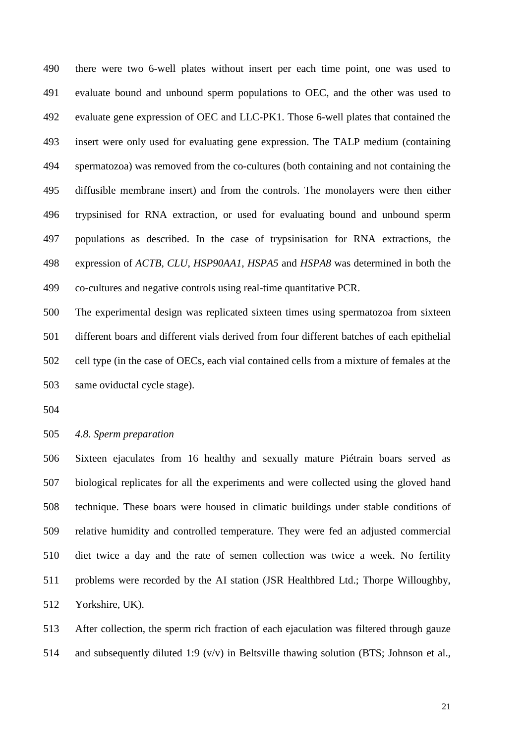there were two 6-well plates without insert per each time point, one was used to evaluate bound and unbound sperm populations to OEC, and the other was used to evaluate gene expression of OEC and LLC-PK1. Those 6-well plates that contained the insert were only used for evaluating gene expression. The TALP medium (containing spermatozoa) was removed from the co-cultures (both containing and not containing the diffusible membrane insert) and from the controls. The monolayers were then either trypsinised for RNA extraction, or used for evaluating bound and unbound sperm populations as described. In the case of trypsinisation for RNA extractions, the expression of *ACTB*, *CLU*, *HSP90AA1*, *HSPA5* and *HSPA8* was determined in both the co-cultures and negative controls using real-time quantitative PCR.

 The experimental design was replicated sixteen times using spermatozoa from sixteen different boars and different vials derived from four different batches of each epithelial cell type (in the case of OECs, each vial contained cells from a mixture of females at the same oviductal cycle stage).

*4.8. Sperm preparation*

 Sixteen ejaculates from 16 healthy and sexually mature Piétrain boars served as biological replicates for all the experiments and were collected using the gloved hand technique. These boars were housed in climatic buildings under stable conditions of relative humidity and controlled temperature. They were fed an adjusted commercial diet twice a day and the rate of semen collection was twice a week. No fertility problems were recorded by the AI station (JSR Healthbred Ltd.; Thorpe Willoughby, Yorkshire, UK).

 After collection, the sperm rich fraction of each ejaculation was filtered through gauze and subsequently diluted 1:9 (v/v) in Beltsville thawing solution (BTS; Johnson et al.,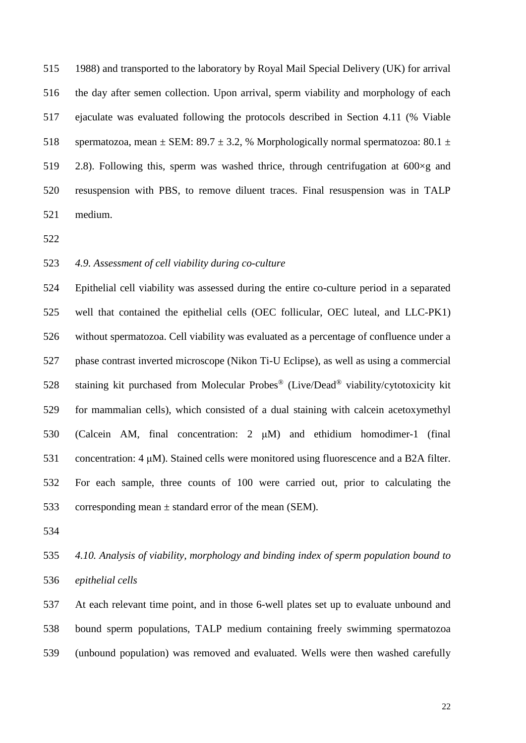1988) and transported to the laboratory by Royal Mail Special Delivery (UK) for arrival the day after semen collection. Upon arrival, sperm viability and morphology of each ejaculate was evaluated following the protocols described in Section 4.11 (% Viable 518 spermatozoa, mean  $\pm$  SEM: 89.7  $\pm$  3.2, % Morphologically normal spermatozoa: 80.1  $\pm$ 519 2.8). Following this, sperm was washed thrice, through centrifugation at  $600 \times g$  and resuspension with PBS, to remove diluent traces. Final resuspension was in TALP medium.

# *4.9. Assessment of cell viability during co-culture*

 Epithelial cell viability was assessed during the entire co-culture period in a separated well that contained the epithelial cells (OEC follicular, OEC luteal, and LLC-PK1) without spermatozoa. Cell viability was evaluated as a percentage of confluence under a phase contrast inverted microscope (Nikon Ti-U Eclipse), as well as using a commercial staining kit purchased from Molecular Probes® (Live/Dead® viability/cytotoxicity kit for mammalian cells), which consisted of a dual staining with calcein acetoxymethyl (Calcein AM, final concentration: 2 μM) and ethidium homodimer-1 (final concentration: 4 μM). Stained cells were monitored using fluorescence and a B2A filter. For each sample, three counts of 100 were carried out, prior to calculating the 533 corresponding mean  $\pm$  standard error of the mean (SEM).

 *4.10. Analysis of viability, morphology and binding index of sperm population bound to epithelial cells*

 At each relevant time point, and in those 6-well plates set up to evaluate unbound and bound sperm populations, TALP medium containing freely swimming spermatozoa (unbound population) was removed and evaluated. Wells were then washed carefully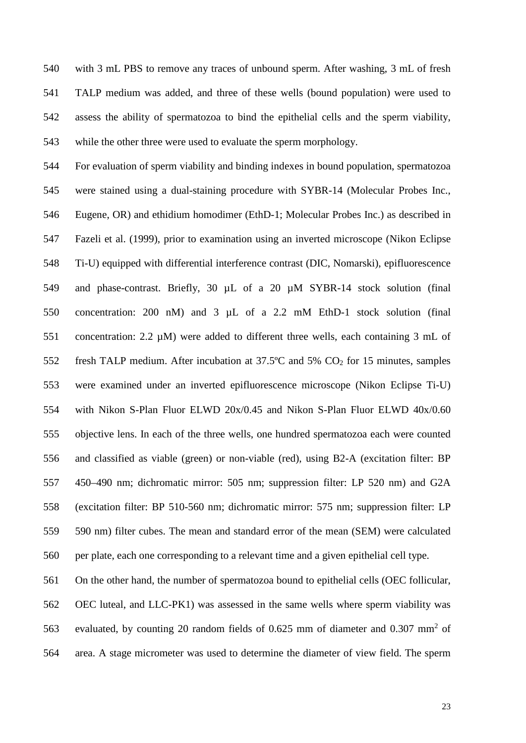with 3 mL PBS to remove any traces of unbound sperm. After washing, 3 mL of fresh TALP medium was added, and three of these wells (bound population) were used to assess the ability of spermatozoa to bind the epithelial cells and the sperm viability, while the other three were used to evaluate the sperm morphology.

 For evaluation of sperm viability and binding indexes in bound population, spermatozoa were stained using a dual-staining procedure with SYBR-14 (Molecular Probes Inc., Eugene, OR) and ethidium homodimer (EthD-1; Molecular Probes Inc.) as described in Fazeli et al. (1999), prior to examination using an inverted microscope (Nikon Eclipse Ti-U) equipped with differential interference contrast (DIC, Nomarski), epifluorescence and phase-contrast. Briefly, 30 µL of a 20 µM SYBR-14 stock solution (final concentration: 200 nM) and 3 µL of a 2.2 mM EthD-1 stock solution (final concentration: 2.2 µM) were added to different three wells, each containing 3 mL of fresh TALP medium. After incubation at 37.5ºC and 5% CO2 for 15 minutes, samples were examined under an inverted epifluorescence microscope (Nikon Eclipse Ti-U) with Nikon S-Plan Fluor ELWD 20x/0.45 and Nikon S-Plan Fluor ELWD 40x/0.60 objective lens. In each of the three wells, one hundred spermatozoa each were counted and classified as viable (green) or non-viable (red), using B2-A (excitation filter: BP 450–490 nm; dichromatic mirror: 505 nm; suppression filter: LP 520 nm) and G2A (excitation filter: BP 510-560 nm; dichromatic mirror: 575 nm; suppression filter: LP 590 nm) filter cubes. The mean and standard error of the mean (SEM) were calculated per plate, each one corresponding to a relevant time and a given epithelial cell type.

 On the other hand, the number of spermatozoa bound to epithelial cells (OEC follicular, OEC luteal, and LLC-PK1) was assessed in the same wells where sperm viability was 563 evaluated, by counting 20 random fields of 0.625 mm of diameter and 0.307 mm<sup>2</sup> of area. A stage micrometer was used to determine the diameter of view field. The sperm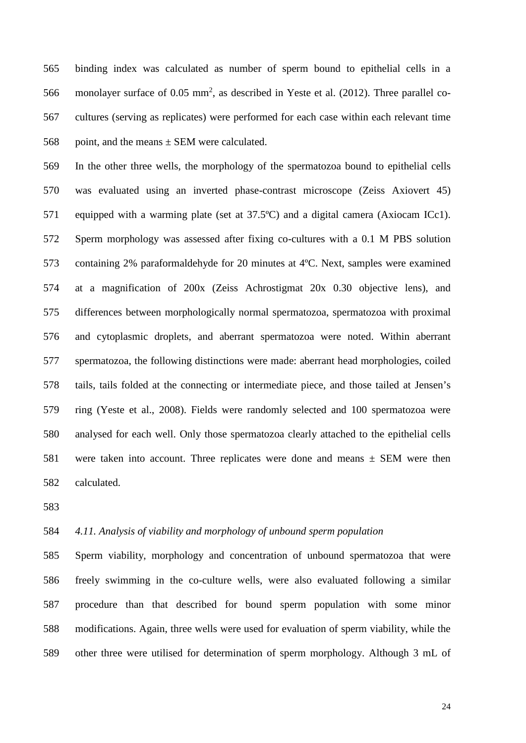binding index was calculated as number of sperm bound to epithelial cells in a 566 monolayer surface of 0.05  $mm<sup>2</sup>$ , as described in Yeste et al. (2012). Three parallel co- cultures (serving as replicates) were performed for each case within each relevant time 568 point, and the means  $\pm$  SEM were calculated.

 In the other three wells, the morphology of the spermatozoa bound to epithelial cells was evaluated using an inverted phase-contrast microscope (Zeiss Axiovert 45) equipped with a warming plate (set at 37.5ºC) and a digital camera (Axiocam ICc1). Sperm morphology was assessed after fixing co-cultures with a 0.1 M PBS solution containing 2% paraformaldehyde for 20 minutes at 4ºC. Next, samples were examined at a magnification of 200x (Zeiss Achrostigmat 20x 0.30 objective lens), and differences between morphologically normal spermatozoa, spermatozoa with proximal and cytoplasmic droplets, and aberrant spermatozoa were noted. Within aberrant spermatozoa, the following distinctions were made: aberrant head morphologies, coiled tails, tails folded at the connecting or intermediate piece, and those tailed at Jensen's ring (Yeste et al., 2008). Fields were randomly selected and 100 spermatozoa were analysed for each well. Only those spermatozoa clearly attached to the epithelial cells 581 were taken into account. Three replicates were done and means  $\pm$  SEM were then calculated.

# *4.11. Analysis of viability and morphology of unbound sperm population*

 Sperm viability, morphology and concentration of unbound spermatozoa that were freely swimming in the co-culture wells, were also evaluated following a similar procedure than that described for bound sperm population with some minor modifications. Again, three wells were used for evaluation of sperm viability, while the other three were utilised for determination of sperm morphology. Although 3 mL of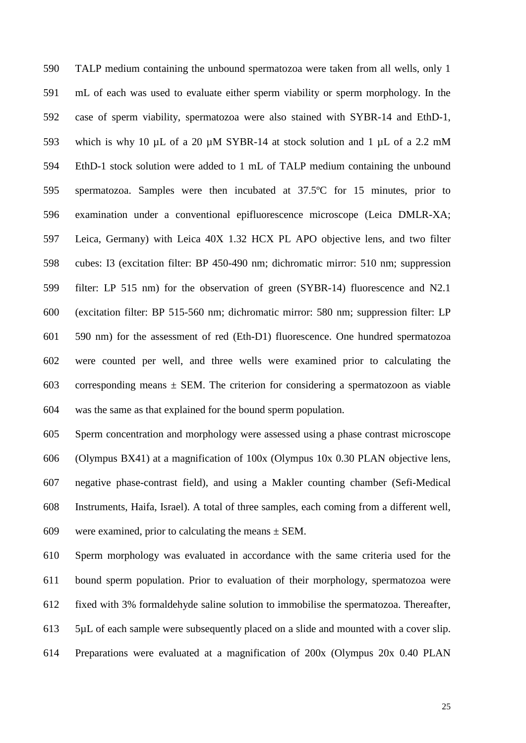TALP medium containing the unbound spermatozoa were taken from all wells, only 1 mL of each was used to evaluate either sperm viability or sperm morphology. In the case of sperm viability, spermatozoa were also stained with SYBR-14 and EthD-1, 593 which is why 10  $\mu$ L of a 20  $\mu$ M SYBR-14 at stock solution and 1  $\mu$ L of a 2.2 mM EthD-1 stock solution were added to 1 mL of TALP medium containing the unbound spermatozoa. Samples were then incubated at 37.5ºC for 15 minutes, prior to examination under a conventional epifluorescence microscope (Leica DMLR-XA; Leica, Germany) with Leica 40X 1.32 HCX PL APO objective lens, and two filter cubes: I3 (excitation filter: BP 450-490 nm; dichromatic mirror: 510 nm; suppression filter: LP 515 nm) for the observation of green (SYBR-14) fluorescence and N2.1 (excitation filter: BP 515-560 nm; dichromatic mirror: 580 nm; suppression filter: LP 590 nm) for the assessment of red (Eth-D1) fluorescence. One hundred spermatozoa were counted per well, and three wells were examined prior to calculating the 603 corresponding means  $\pm$  SEM. The criterion for considering a spermatozoon as viable was the same as that explained for the bound sperm population.

 Sperm concentration and morphology were assessed using a phase contrast microscope (Olympus BX41) at a magnification of 100x (Olympus 10x 0.30 PLAN objective lens, negative phase-contrast field), and using a Makler counting chamber (Sefi-Medical Instruments, Haifa, Israel). A total of three samples, each coming from a different well, 609 were examined, prior to calculating the means  $\pm$  SEM.

 Sperm morphology was evaluated in accordance with the same criteria used for the bound sperm population. Prior to evaluation of their morphology, spermatozoa were fixed with 3% formaldehyde saline solution to immobilise the spermatozoa. Thereafter, 5µL of each sample were subsequently placed on a slide and mounted with a cover slip. Preparations were evaluated at a magnification of 200x (Olympus 20x 0.40 PLAN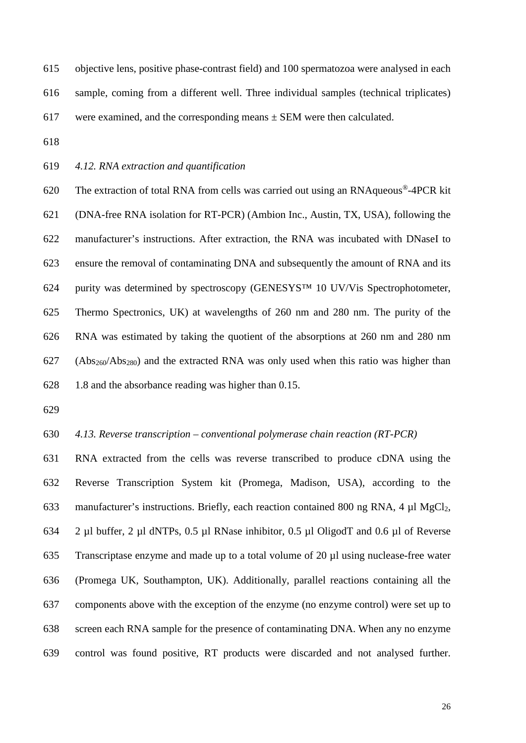- objective lens, positive phase-contrast field) and 100 spermatozoa were analysed in each sample, coming from a different well. Three individual samples (technical triplicates) 617 were examined, and the corresponding means  $\pm$  SEM were then calculated.
- 
- *4.12. RNA extraction and quantification*

620 The extraction of total RNA from cells was carried out using an RNA que ous<sup>®</sup>-4PCR kit (DNA-free RNA isolation for RT-PCR) (Ambion Inc., Austin, TX, USA), following the manufacturer's instructions. After extraction, the RNA was incubated with DNaseI to ensure the removal of contaminating DNA and subsequently the amount of RNA and its purity was determined by spectroscopy (GENESYS™ 10 UV/Vis Spectrophotometer, Thermo Spectronics, UK) at wavelengths of 260 nm and 280 nm. The purity of the RNA was estimated by taking the quotient of the absorptions at 260 nm and 280 nm (Abs260/Abs280) and the extracted RNA was only used when this ratio was higher than 1.8 and the absorbance reading was higher than 0.15.

- 
- *4.13. Reverse transcription – conventional polymerase chain reaction (RT-PCR)*

 RNA extracted from the cells was reverse transcribed to produce cDNA using the Reverse Transcription System kit (Promega, Madison, USA), according to the manufacturer's instructions. Briefly, each reaction contained 800 ng RNA, 4 µl MgCl2, 2 µl buffer, 2 µl dNTPs, 0.5 µl RNase inhibitor, 0.5 µl OligodT and 0.6 µl of Reverse Transcriptase enzyme and made up to a total volume of 20 µl using nuclease-free water (Promega UK, Southampton, UK). Additionally, parallel reactions containing all the components above with the exception of the enzyme (no enzyme control) were set up to screen each RNA sample for the presence of contaminating DNA. When any no enzyme control was found positive, RT products were discarded and not analysed further.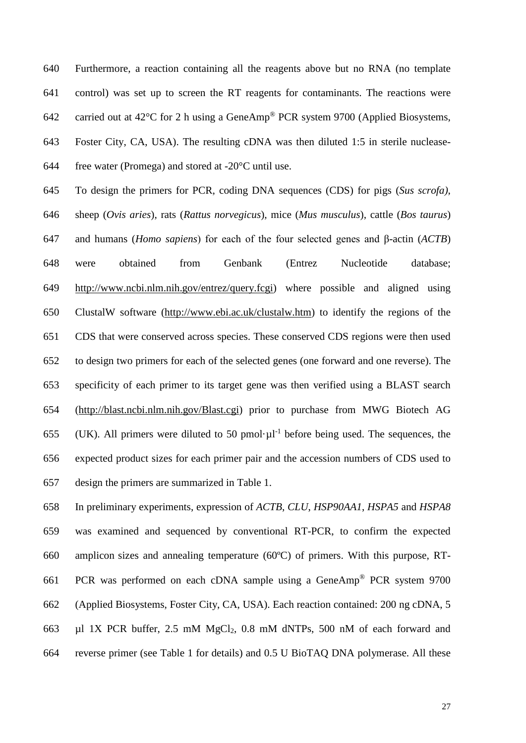Furthermore, a reaction containing all the reagents above but no RNA (no template control) was set up to screen the RT reagents for contaminants. The reactions were 642 carried out at 42 $^{\circ}$ C for 2 h using a GeneAmp<sup>®</sup> PCR system 9700 (Applied Biosystems, Foster City, CA, USA). The resulting cDNA was then diluted 1:5 in sterile nuclease-644 free water (Promega) and stored at  $-20^{\circ}$ C until use.

 To design the primers for PCR, coding DNA sequences (CDS) for pigs (*Sus scrofa)*, sheep (*Ovis aries*), rats (*Rattus norvegicus*), mice (*Mus musculus*), cattle (*Bos taurus*) and humans (*Homo sapiens*) for each of the four selected genes and β-actin (*ACTB*) were obtained from Genbank (Entrez Nucleotide database; [http://www.ncbi.nlm.nih.gov/entrez/query.fcgi\)](http://www.ncbi.nlm.nih.gov/entrez/query.fcgi) where possible and aligned using ClustalW software [\(http://www.ebi.ac.uk/clustalw.htm\)](http://www.ebi.ac.uk/clustalw.htm) to identify the regions of the CDS that were conserved across species. These conserved CDS regions were then used to design two primers for each of the selected genes (one forward and one reverse). The specificity of each primer to its target gene was then verified using a BLAST search [\(http://blast.ncbi.nlm.nih.gov/Blast.cgi\)](http://blast.ncbi.nlm.nih.gov/Blast.cgi) prior to purchase from MWG Biotech AG 655 (UK). All primers were diluted to 50 pmol· $\mu$ l<sup>-1</sup> before being used. The sequences, the expected product sizes for each primer pair and the accession numbers of CDS used to design the primers are summarized in Table 1.

 In preliminary experiments, expression of *ACTB*, *CLU*, *HSP90AA1*, *HSPA5* and *HSPA8* was examined and sequenced by conventional RT-PCR, to confirm the expected amplicon sizes and annealing temperature (60ºC) of primers. With this purpose, RT-661 PCR was performed on each cDNA sample using a GeneAmp® PCR system 9700 (Applied Biosystems, Foster City, CA, USA). Each reaction contained: 200 ng cDNA, 5 µl 1X PCR buffer, 2.5 mM MgCl2, 0.8 mM dNTPs, 500 nM of each forward and reverse primer (see Table 1 for details) and 0.5 U BioTAQ DNA polymerase. All these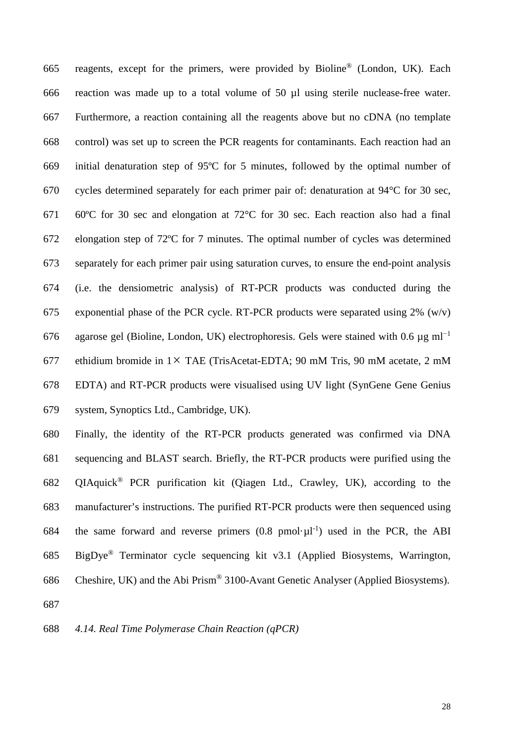665 reagents, except for the primers, were provided by Bioline<sup>®</sup> (London, UK). Each reaction was made up to a total volume of 50 µl using sterile nuclease-free water. Furthermore, a reaction containing all the reagents above but no cDNA (no template control) was set up to screen the PCR reagents for contaminants. Each reaction had an initial denaturation step of 95ºC for 5 minutes, followed by the optimal number of cycles determined separately for each primer pair of: denaturation at 94°C for 30 sec, 60ºC for 30 sec and elongation at 72°C for 30 sec. Each reaction also had a final elongation step of 72ºC for 7 minutes. The optimal number of cycles was determined separately for each primer pair using saturation curves, to ensure the end-point analysis (i.e. the densiometric analysis) of RT-PCR products was conducted during the 675 exponential phase of the PCR cycle. RT-PCR products were separated using  $2\%$  (w/v) 676 agarose gel (Bioline, London, UK) electrophoresis. Gels were stained with 0.6  $\mu$ g ml<sup>-1</sup> ethidium bromide in 1× TAE (TrisAcetat-EDTA; 90 mM Tris, 90 mM acetate, 2 mM EDTA) and RT-PCR products were visualised using UV light (SynGene Gene Genius system, Synoptics Ltd., Cambridge, UK).

 Finally, the identity of the RT-PCR products generated was confirmed via DNA sequencing and BLAST search. Briefly, the RT-PCR products were purified using the 682 OIAquick<sup>®</sup> PCR purification kit (Oiagen Ltd., Crawley, UK), according to the manufacturer's instructions. The purified RT-PCR products were then sequenced using 684 the same forward and reverse primers  $(0.8 \text{ pmol·}\mu l^{-1})$  used in the PCR, the ABI 685 BigDye<sup>®</sup> Terminator cycle sequencing kit v3.1 (Applied Biosystems, Warrington, 686 Cheshire, UK) and the Abi Prism® 3100-Avant Genetic Analyser (Applied Biosystems).

*4.14. Real Time Polymerase Chain Reaction (qPCR)*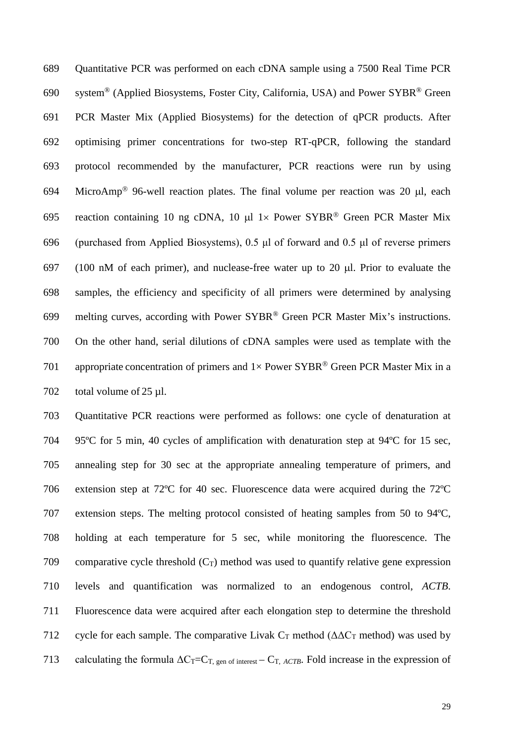Quantitative PCR was performed on each cDNA sample using a 7500 Real Time PCR 690 system® (Applied Biosystems, Foster City, California, USA) and Power SYBR® Green PCR Master Mix (Applied Biosystems) for the detection of qPCR products. After optimising primer concentrations for two-step RT-qPCR, following the standard protocol recommended by the manufacturer, PCR reactions were run by using 694 MicroAmp<sup>®</sup> 96-well reaction plates. The final volume per reaction was 20  $\mu$ l, each 695 reaction containing 10 ng cDNA, 10  $\mu$ l 1× Power SYBR® Green PCR Master Mix (purchased from Applied Biosystems), 0.5 μl of forward and 0.5 μl of reverse primers (100 nM of each primer), and nuclease-free water up to 20 µl. Prior to evaluate the samples, the efficiency and specificity of all primers were determined by analysing 699 melting curves, according with Power SYBR® Green PCR Master Mix's instructions. On the other hand, serial dilutions of cDNA samples were used as template with the 701 appropriate concentration of primers and  $1 \times$  Power SYBR® Green PCR Master Mix in a 702 total volume of 25 ul.

 Quantitative PCR reactions were performed as follows: one cycle of denaturation at 95ºC for 5 min, 40 cycles of amplification with denaturation step at 94ºC for 15 sec, annealing step for 30 sec at the appropriate annealing temperature of primers, and extension step at 72ºC for 40 sec. Fluorescence data were acquired during the 72ºC extension steps. The melting protocol consisted of heating samples from 50 to 94ºC, holding at each temperature for 5 sec, while monitoring the fluorescence. The 709 comparative cycle threshold  $(C_T)$  method was used to quantify relative gene expression levels and quantification was normalized to an endogenous control, *ACTB*. Fluorescence data were acquired after each elongation step to determine the threshold 712 cycle for each sample. The comparative Livak  $C_T$  method ( $\Delta \Delta C_T$  method) was used by 713 calculating the formula  $\Delta C_T = C_T$ , gen of interest –  $C_T$ , *ACTB*. Fold increase in the expression of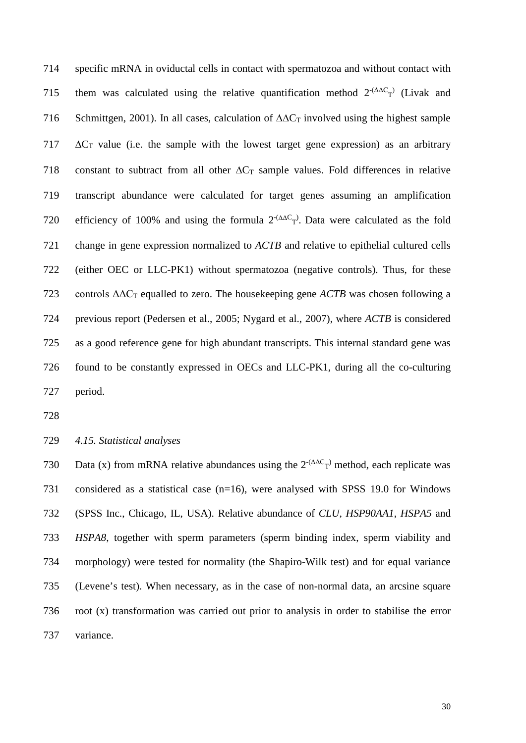specific mRNA in oviductal cells in contact with spermatozoa and without contact with 715 them was calculated using the relative quantification method  $2^{-(\Delta\Delta C_{T})}$  (Livak and 716 Schmittgen, 2001). In all cases, calculation of  $\Delta \Delta C_T$  involved using the highest sample  $\Delta C_T$  value (i.e. the sample with the lowest target gene expression) as an arbitrary 718 constant to subtract from all other  $\Delta C_T$  sample values. Fold differences in relative transcript abundance were calculated for target genes assuming an amplification 720 efficiency of 100% and using the formula  $2^{-(\Delta\Delta C_T)}$ . Data were calculated as the fold change in gene expression normalized to *ACTB* and relative to epithelial cultured cells (either OEC or LLC-PK1) without spermatozoa (negative controls). Thus, for these controls ΔΔC<sup>T</sup> equalled to zero. The housekeeping gene *ACTB* was chosen following a previous report (Pedersen et al., 2005; Nygard et al., 2007), where *ACTB* is considered as a good reference gene for high abundant transcripts. This internal standard gene was found to be constantly expressed in OECs and LLC-PK1, during all the co-culturing period.

*4.15. Statistical analyses*

730 Data (x) from mRNA relative abundances using the  $2^{-(\Delta\Delta C_{T})}$  method, each replicate was considered as a statistical case (n=16), were analysed with SPSS 19.0 for Windows (SPSS Inc., Chicago, IL, USA). Relative abundance of *CLU*, *HSP90AA1*, *HSPA5* and *HSPA8*, together with sperm parameters (sperm binding index, sperm viability and morphology) were tested for normality (the Shapiro-Wilk test) and for equal variance (Levene's test). When necessary, as in the case of non-normal data, an arcsine square root (x) transformation was carried out prior to analysis in order to stabilise the error variance.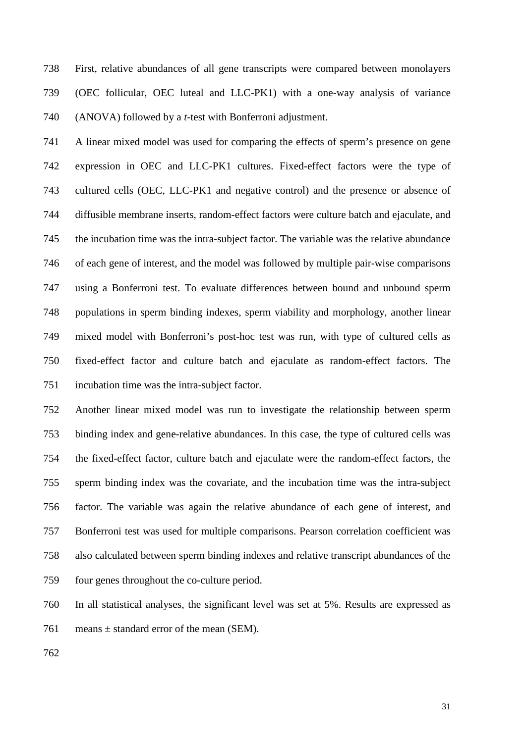First, relative abundances of all gene transcripts were compared between monolayers (OEC follicular, OEC luteal and LLC-PK1) with a one-way analysis of variance (ANOVA) followed by a *t*-test with Bonferroni adjustment.

 A linear mixed model was used for comparing the effects of sperm's presence on gene expression in OEC and LLC-PK1 cultures. Fixed-effect factors were the type of cultured cells (OEC, LLC-PK1 and negative control) and the presence or absence of diffusible membrane inserts, random-effect factors were culture batch and ejaculate, and the incubation time was the intra-subject factor. The variable was the relative abundance of each gene of interest, and the model was followed by multiple pair-wise comparisons using a Bonferroni test. To evaluate differences between bound and unbound sperm populations in sperm binding indexes, sperm viability and morphology, another linear mixed model with Bonferroni's post-hoc test was run, with type of cultured cells as fixed-effect factor and culture batch and ejaculate as random-effect factors. The incubation time was the intra-subject factor.

 Another linear mixed model was run to investigate the relationship between sperm binding index and gene-relative abundances. In this case, the type of cultured cells was the fixed-effect factor, culture batch and ejaculate were the random-effect factors, the sperm binding index was the covariate, and the incubation time was the intra-subject factor. The variable was again the relative abundance of each gene of interest, and Bonferroni test was used for multiple comparisons. Pearson correlation coefficient was also calculated between sperm binding indexes and relative transcript abundances of the four genes throughout the co-culture period.

 In all statistical analyses, the significant level was set at 5%. Results are expressed as 761 means  $\pm$  standard error of the mean (SEM).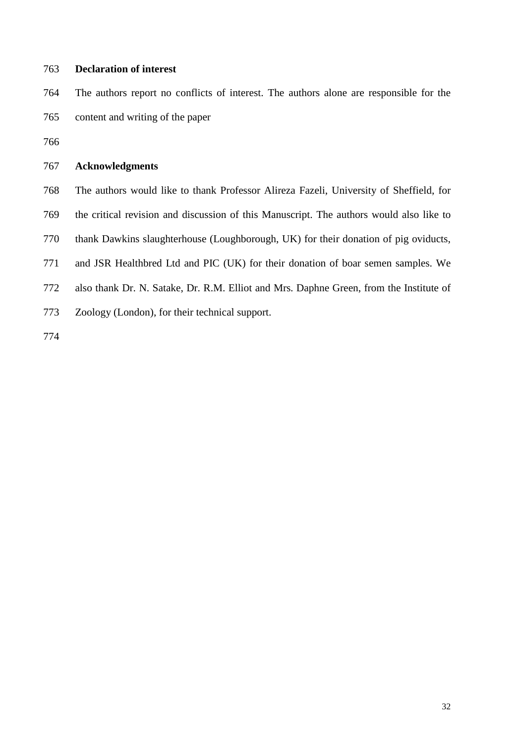# **Declaration of interest**

 The authors report no conflicts of interest. The authors alone are responsible for the content and writing of the paper

# **Acknowledgments**

The authors would like to thank Professor Alireza Fazeli, University of Sheffield, for

- the critical revision and discussion of this Manuscript. The authors would also like to
- thank Dawkins slaughterhouse (Loughborough, UK) for their donation of pig oviducts,

and JSR Healthbred Ltd and PIC (UK) for their donation of boar semen samples. We

- also thank Dr. N. Satake, Dr. R.M. Elliot and Mrs. Daphne Green, from the Institute of
- Zoology (London), for their technical support.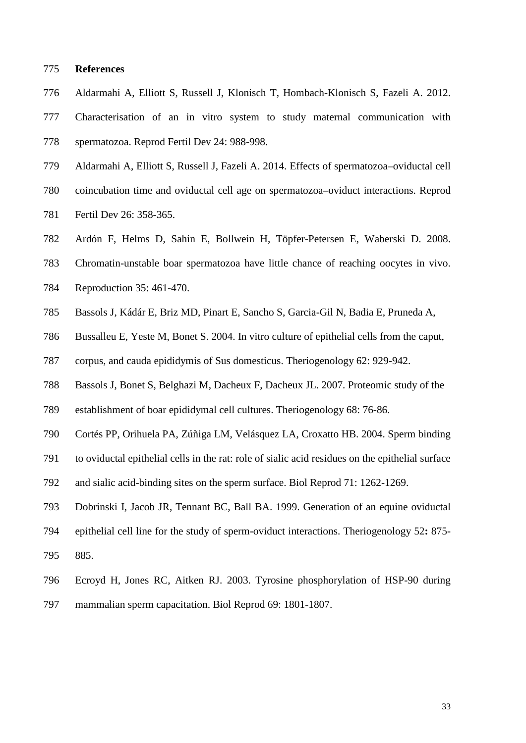#### **References**

- Aldarmahi A, Elliott S, Russell J, Klonisch T, Hombach-Klonisch S, Fazeli A. 2012.
- Characterisation of an in vitro system to study maternal communication with spermatozoa. Reprod Fertil Dev 24: 988-998.
- Aldarmahi A, Elliott S, Russell J, Fazeli A. 2014. Effects of spermatozoa–oviductal cell
- coincubation time and oviductal cell age on spermatozoa–oviduct interactions. Reprod
- Fertil Dev 26: 358-365.
- Ardón F, Helms D, Sahin E, Bollwein H, Töpfer-Petersen E, Waberski D. 2008.
- Chromatin-unstable boar spermatozoa have little chance of reaching oocytes in vivo.
- Reproduction 35: 461-470.
- Bassols J, Kádár E, Briz MD, Pinart E, Sancho S, Garcia-Gil N, Badia E, Pruneda A,
- Bussalleu E, Yeste M, Bonet S. 2004. In vitro culture of epithelial cells from the caput,
- corpus, and cauda epididymis of Sus domesticus. Theriogenology 62: 929-942.
- Bassols J, Bonet S, Belghazi M, Dacheux F, Dacheux JL. 2007. Proteomic study of the
- establishment of boar epididymal cell cultures. Theriogenology 68: 76-86.
- Cortés PP, Orihuela PA, Zúñiga LM, Velásquez LA, Croxatto HB. 2004. Sperm binding
- to oviductal epithelial cells in the rat: role of sialic acid residues on the epithelial surface
- and sialic acid-binding sites on the sperm surface. Biol Reprod 71: 1262-1269.
- Dobrinski I, Jacob JR, Tennant BC, Ball BA. 1999. Generation of an equine oviductal
- epithelial cell line for the study of sperm-oviduct interactions. Theriogenology 52**:** 875-
- 885.
- Ecroyd H, Jones RC, Aitken RJ. 2003. Tyrosine phosphorylation of HSP-90 during
- mammalian sperm capacitation. Biol Reprod 69: 1801-1807.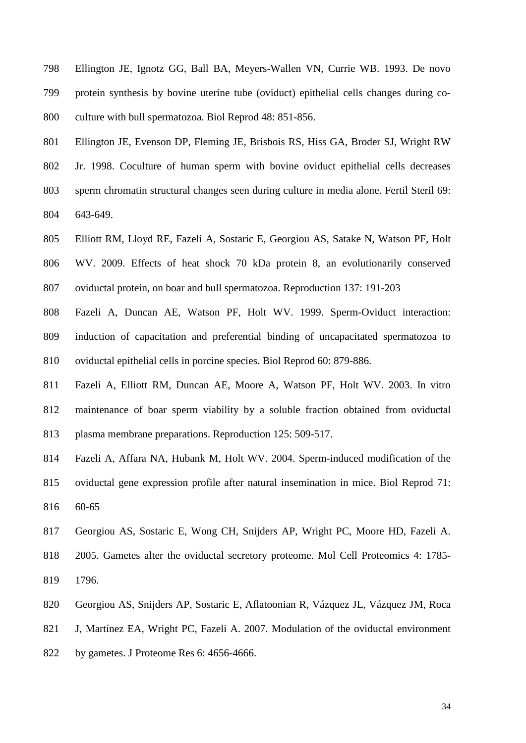- Ellington JE, Ignotz GG, Ball BA, Meyers-Wallen VN, Currie WB. 1993. De novo protein synthesis by bovine uterine tube (oviduct) epithelial cells changes during co-culture with bull spermatozoa. Biol Reprod 48: 851-856.
- Ellington JE, Evenson DP, Fleming JE, Brisbois RS, Hiss GA, Broder SJ, Wright RW Jr. 1998. Coculture of human sperm with bovine oviduct epithelial cells decreases sperm chromatin structural changes seen during culture in media alone. Fertil Steril 69: 643-649.
- Elliott RM, Lloyd RE, Fazeli A, Sostaric E, Georgiou AS, Satake N, Watson PF, Holt WV. 2009. Effects of heat shock 70 kDa protein 8, an evolutionarily conserved oviductal protein, on boar and bull spermatozoa. Reproduction 137: 191-203
- Fazeli A, Duncan AE, Watson PF, Holt WV. 1999. Sperm-Oviduct interaction: induction of capacitation and preferential binding of uncapacitated spermatozoa to oviductal epithelial cells in porcine species. Biol Reprod 60: 879-886.
- Fazeli A, Elliott RM, Duncan AE, Moore A, Watson PF, Holt WV. 2003. In vitro maintenance of boar sperm viability by a soluble fraction obtained from oviductal plasma membrane preparations. Reproduction 125: 509-517.
- Fazeli A, Affara NA, Hubank M, Holt WV. 2004. Sperm-induced modification of the oviductal gene expression profile after natural insemination in mice. Biol Reprod 71: 60-65
- Georgiou AS, Sostaric E, Wong CH, Snijders AP, Wright PC, Moore HD, Fazeli A.
- 2005. Gametes alter the oviductal secretory proteome. Mol Cell Proteomics 4: 1785- 1796.
- Georgiou AS, Snijders AP, Sostaric E, Aflatoonian R, Vázquez JL, Vázquez JM, Roca
- J, Martínez EA, Wright PC, Fazeli A. 2007. Modulation of the oviductal environment
- by gametes. J Proteome Res 6: 4656-4666.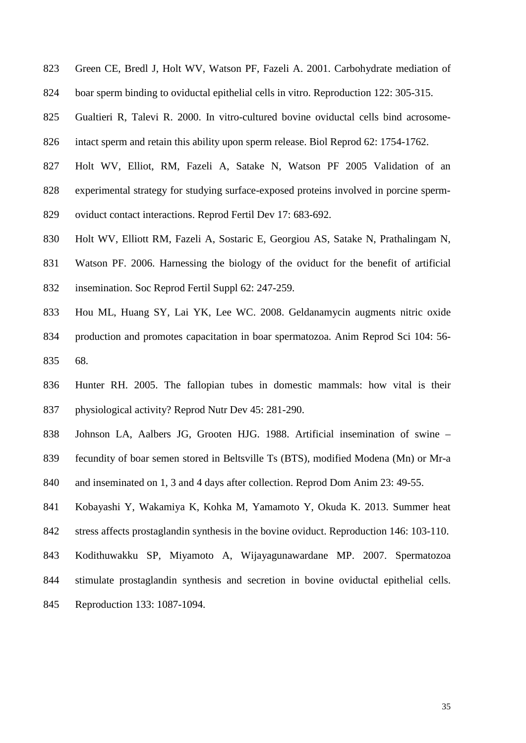- Green CE, Bredl J, Holt WV, Watson PF, Fazeli A. 2001. Carbohydrate mediation of
- boar sperm binding to oviductal epithelial cells in vitro. Reproduction 122: 305-315.
- Gualtieri R, Talevi R. 2000. In vitro-cultured bovine oviductal cells bind acrosome-
- intact sperm and retain this ability upon sperm release. Biol Reprod 62: 1754-1762.
- Holt WV, Elliot, RM, Fazeli A, Satake N, Watson PF 2005 Validation of an
- experimental strategy for studying surface-exposed proteins involved in porcine sperm-
- oviduct contact interactions. Reprod Fertil Dev 17: 683-692.
- Holt WV, Elliott RM, Fazeli A, Sostaric E, Georgiou AS, Satake N, Prathalingam N,
- Watson PF. 2006. Harnessing the biology of the oviduct for the benefit of artificial insemination. Soc Reprod Fertil Suppl 62: 247-259.
- Hou ML, Huang SY, Lai YK, Lee WC. 2008. Geldanamycin augments nitric oxide production and promotes capacitation in boar spermatozoa. Anim Reprod Sci 104: 56- 68.
- Hunter RH. 2005. The fallopian tubes in domestic mammals: how vital is their physiological activity? Reprod Nutr Dev 45: 281-290.
- Johnson LA, Aalbers JG, Grooten HJG. 1988. Artificial insemination of swine –
- fecundity of boar semen stored in Beltsville Ts (BTS), modified Modena (Mn) or Mr-a
- and inseminated on 1, 3 and 4 days after collection. Reprod Dom Anim 23: 49-55.
- Kobayashi Y, Wakamiya K, Kohka M, Yamamoto Y, Okuda K. 2013. Summer heat
- stress affects prostaglandin synthesis in the bovine oviduct. Reproduction 146: 103-110.
- Kodithuwakku SP, Miyamoto A, Wijayagunawardane MP. 2007. Spermatozoa
- stimulate prostaglandin synthesis and secretion in bovine oviductal epithelial cells.
- Reproduction 133: 1087-1094.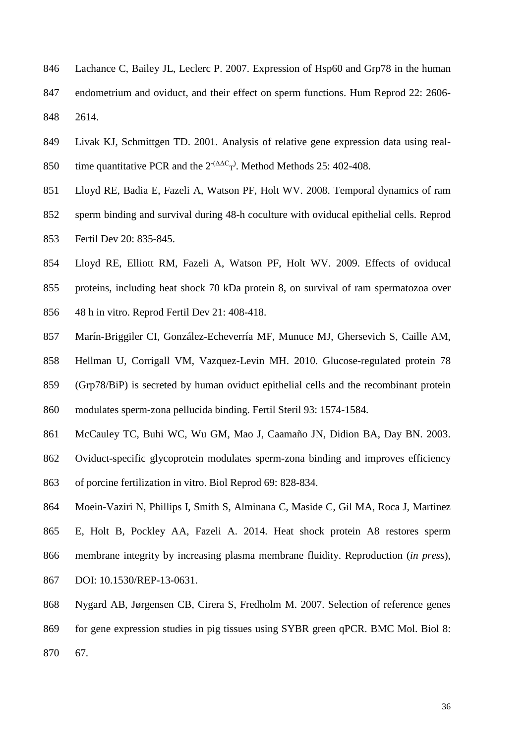- Lachance C, Bailey JL, Leclerc P. 2007. Expression of Hsp60 and Grp78 in the human endometrium and oviduct, and their effect on sperm functions. Hum Reprod 22: 2606- 2614.
- Livak KJ, Schmittgen TD. 2001. Analysis of relative gene expression data using real-850 time quantitative PCR and the  $2^{-(\Delta\Delta C_{T})}$ . Method Methods 25: 402-408.
- Lloyd RE, Badia E, Fazeli A, Watson PF, Holt WV. 2008. Temporal dynamics of ram
- sperm binding and survival during 48-h coculture with oviducal epithelial cells. Reprod Fertil Dev 20: 835-845.
- Lloyd RE, Elliott RM, Fazeli A, Watson PF, Holt WV. 2009. Effects of oviducal proteins, including heat shock 70 kDa protein 8, on survival of ram spermatozoa over
- 48 h in vitro. Reprod Fertil Dev 21: 408-418.
- Marín-Briggiler CI, González-Echeverría MF, Munuce MJ, Ghersevich S, Caille AM,
- Hellman U, Corrigall VM, Vazquez-Levin MH. 2010. Glucose-regulated protein 78
- (Grp78/BiP) is secreted by human oviduct epithelial cells and the recombinant protein

modulates sperm-zona pellucida binding. Fertil Steril 93: 1574-1584.

- McCauley TC, Buhi WC, Wu GM, Mao J, Caamaño JN, Didion BA, Day BN. 2003.
- Oviduct-specific glycoprotein modulates sperm-zona binding and improves efficiency
- of porcine fertilization in vitro. Biol Reprod 69: 828-834.
- Moein-Vaziri N, Phillips I, Smith S, Alminana C, Maside C, Gil MA, Roca J, Martinez
- E, Holt B, Pockley AA, Fazeli A. 2014. Heat shock protein A8 restores sperm
- membrane integrity by increasing plasma membrane fluidity. Reproduction (*in press*),
- DOI: 10.1530/REP-13-0631.
- Nygard AB, Jørgensen CB, Cirera S, Fredholm M. 2007. Selection of reference genes for gene expression studies in pig tissues using SYBR green qPCR. BMC Mol. Biol 8: 67.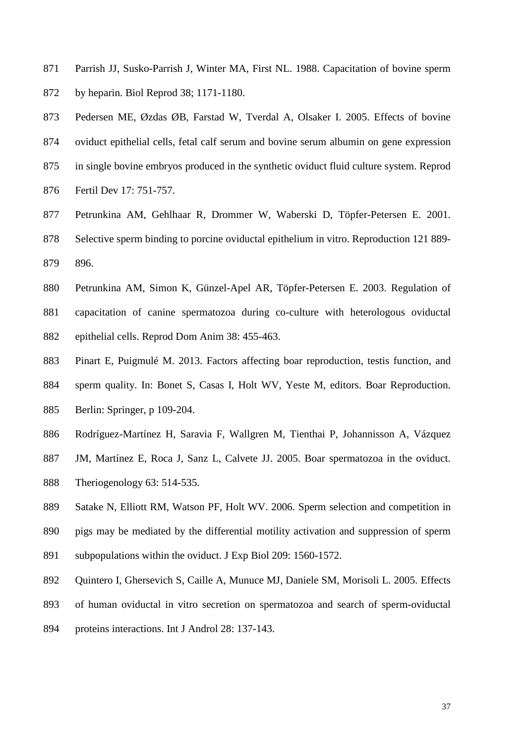- Parrish JJ, Susko-Parrish J, Winter MA, First NL. 1988. Capacitation of bovine sperm by heparin. Biol Reprod 38; 1171-1180.
- Pedersen ME, Øzdas ØB, Farstad W, Tverdal A, Olsaker I. 2005. Effects of bovine oviduct epithelial cells, fetal calf serum and bovine serum albumin on gene expression in single bovine embryos produced in the synthetic oviduct fluid culture system. Reprod Fertil Dev 17: 751-757.
- Petrunkina AM, Gehlhaar R, Drommer W, Waberski D, Töpfer-Petersen E. 2001. Selective sperm binding to porcine oviductal epithelium in vitro. Reproduction 121 889- 896.
- Petrunkina AM, Simon K, Günzel-Apel AR, Töpfer-Petersen E. 2003. Regulation of capacitation of canine spermatozoa during co-culture with heterologous oviductal epithelial cells. Reprod Dom Anim 38: 455-463.
- Pinart E, Puigmulé M. 2013. Factors affecting boar reproduction, testis function, and sperm quality. In: Bonet S, Casas I, Holt WV, Yeste M, editors. Boar Reproduction. Berlin: Springer, p 109-204.
- Rodríguez-Martínez H, Saravia F, Wallgren M, Tienthai P, Johannisson A, Vázquez
- JM, Martínez E, Roca J, Sanz L, Calvete JJ. 2005. Boar spermatozoa in the oviduct.
- Theriogenology 63: 514-535.
- Satake N, Elliott RM, Watson PF, Holt WV. 2006. Sperm selection and competition in
- pigs may be mediated by the differential motility activation and suppression of sperm
- subpopulations within the oviduct. J Exp Biol 209: 1560-1572.
- Quintero I, Ghersevich S, Caille A, Munuce MJ, Daniele SM, Morisoli L. 2005. Effects
- of human oviductal in vitro secretion on spermatozoa and search of sperm-oviductal
- proteins interactions. Int J Androl 28: 137-143.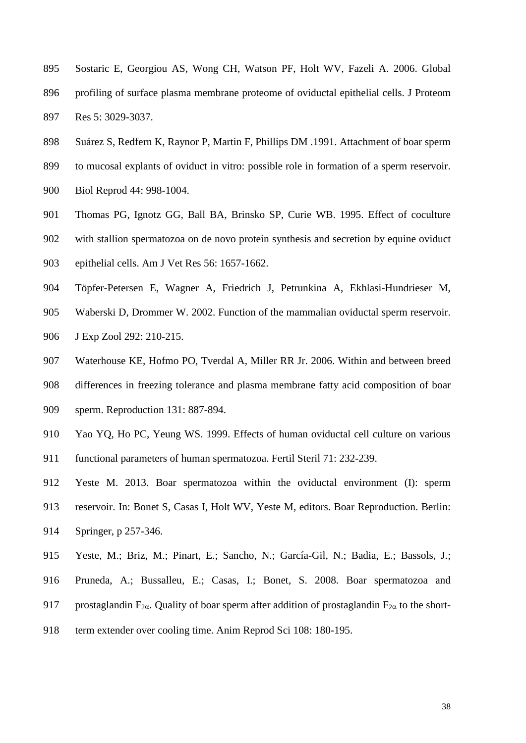- Sostaric E, Georgiou AS, Wong CH, Watson PF, Holt WV, Fazeli A. 2006. Global profiling of surface plasma membrane proteome of oviductal epithelial cells. J Proteom Res 5: 3029-3037.
- Suárez S, Redfern K, Raynor P, Martin F, Phillips DM .1991. Attachment of boar sperm
- to mucosal explants of oviduct in vitro: possible role in formation of a sperm reservoir.
- Biol Reprod 44: 998-1004.
- Thomas PG, Ignotz GG, Ball BA, Brinsko SP, Curie WB. 1995. Effect of coculture
- with stallion spermatozoa on de novo protein synthesis and secretion by equine oviduct
- epithelial cells. Am J Vet Res 56: 1657-1662.
- Töpfer-Petersen E, Wagner A, Friedrich J, Petrunkina A, Ekhlasi-Hundrieser M,
- Waberski D, Drommer W. 2002. Function of the mammalian oviductal sperm reservoir.
- J Exp Zool 292: 210-215.
- Waterhouse KE, Hofmo PO, Tverdal A, Miller RR Jr. 2006. Within and between breed
- differences in freezing tolerance and plasma membrane fatty acid composition of boar sperm. Reproduction 131: 887-894.
- Yao YQ, Ho PC, Yeung WS. 1999. Effects of human oviductal cell culture on various
- functional parameters of human spermatozoa. Fertil Steril 71: 232-239.
- Yeste M. 2013. Boar spermatozoa within the oviductal environment (I): sperm
- reservoir. In: Bonet S, Casas I, Holt WV, Yeste M, editors. Boar Reproduction. Berlin:
- Springer, p 257-346.
- Yeste, M.; Briz, M.; Pinart, E.; Sancho, N.; García-Gil, N.; Badia, E.; Bassols, J.;
- Pruneda, A.; Bussalleu, E.; Casas, I.; Bonet, S. 2008. Boar spermatozoa and
- 917 prostaglandin F<sub>2 $\alpha$ </sub>. Quality of boar sperm after addition of prostaglandin F<sub>2 $\alpha$ </sub> to the short-
- term extender over cooling time. Anim Reprod Sci 108: 180-195.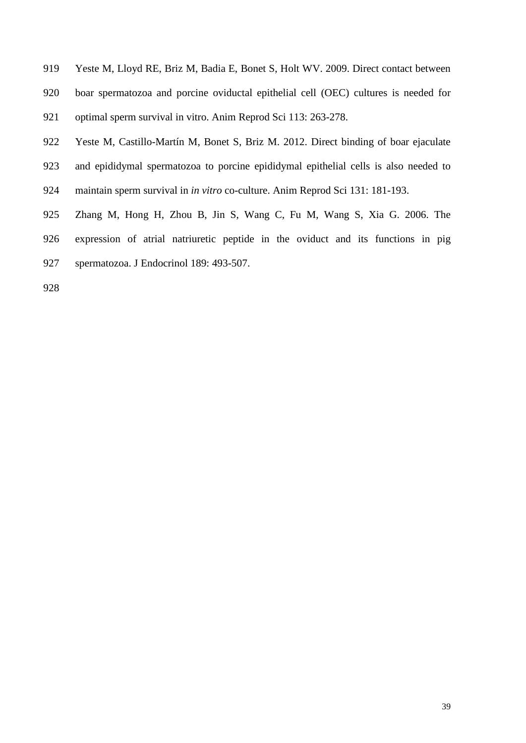- Yeste M, Lloyd RE, Briz M, Badia E, Bonet S, Holt WV. 2009. Direct contact between boar spermatozoa and porcine oviductal epithelial cell (OEC) cultures is needed for optimal sperm survival in vitro. Anim Reprod Sci 113: 263-278.
- Yeste M, Castillo-Martín M, Bonet S, Briz M. 2012. Direct binding of boar ejaculate and epididymal spermatozoa to porcine epididymal epithelial cells is also needed to maintain sperm survival in *in vitro* co-culture. Anim Reprod Sci 131: 181-193.
- Zhang M, Hong H, Zhou B, Jin S, Wang C, Fu M, Wang S, Xia G. 2006. The expression of atrial natriuretic peptide in the oviduct and its functions in pig spermatozoa. J Endocrinol 189: 493-507.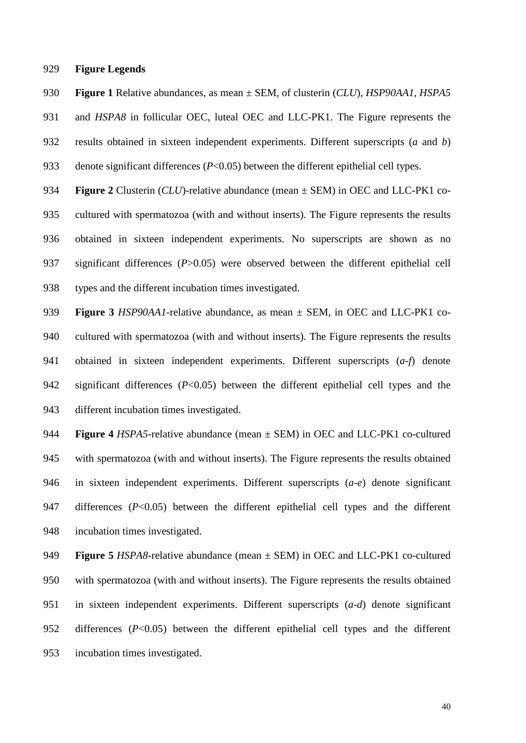### **Figure Legends**

**Figure 1** Relative abundances, as mean ± SEM, of clusterin (*CLU*), *HSP90AA1, HSPA5* 

and *HSPA8* in follicular OEC, luteal OEC and LLC-PK1. The Figure represents the

- results obtained in sixteen independent experiments. Different superscripts (*a* and *b*)
- denote significant differences (*P*<0.05) between the different epithelial cell types.
- **Figure 2** Clusterin (*CLU*)-relative abundance (mean ± SEM) in OEC and LLC-PK1 co- cultured with spermatozoa (with and without inserts). The Figure represents the results obtained in sixteen independent experiments. No superscripts are shown as no significant differences (*P*>0.05) were observed between the different epithelial cell types and the different incubation times investigated.
- **Figure 3** *HSP90AA1*-relative abundance, as mean ± SEM, in OEC and LLC-PK1 co- cultured with spermatozoa (with and without inserts). The Figure represents the results obtained in sixteen independent experiments. Different superscripts (*a*-*f*) denote significant differences (*P*<0.05) between the different epithelial cell types and the different incubation times investigated.
- **Figure 4** *HSPA5*-relative abundance (mean ± SEM) in OEC and LLC-PK1 co-cultured with spermatozoa (with and without inserts). The Figure represents the results obtained in sixteen independent experiments. Different superscripts (*a*-*e*) denote significant differences (*P*<0.05) between the different epithelial cell types and the different incubation times investigated.
- **Figure 5** *HSPA8*-relative abundance (mean ± SEM) in OEC and LLC-PK1 co-cultured with spermatozoa (with and without inserts). The Figure represents the results obtained in sixteen independent experiments. Different superscripts (*a*-*d*) denote significant differences (*P*<0.05) between the different epithelial cell types and the different incubation times investigated.